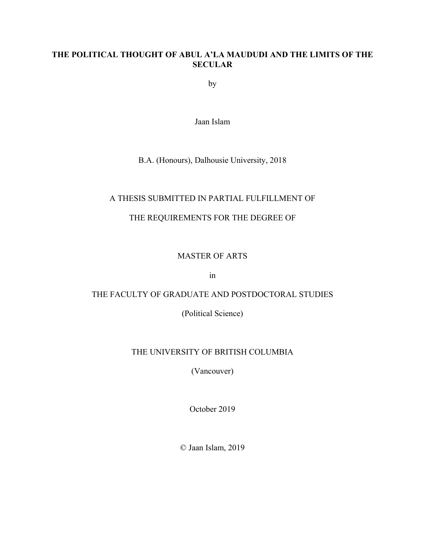#### **THE POLITICAL THOUGHT OF ABUL A'LA MAUDUDI AND THE LIMITS OF THE SECULAR**

by

Jaan Islam

#### B.A. (Honours), Dalhousie University, 2018

#### A THESIS SUBMITTED IN PARTIAL FULFILLMENT OF

## THE REQUIREMENTS FOR THE DEGREE OF

#### MASTER OF ARTS

in

## THE FACULTY OF GRADUATE AND POSTDOCTORAL STUDIES

(Political Science)

## THE UNIVERSITY OF BRITISH COLUMBIA

(Vancouver)

October 2019

© Jaan Islam, 2019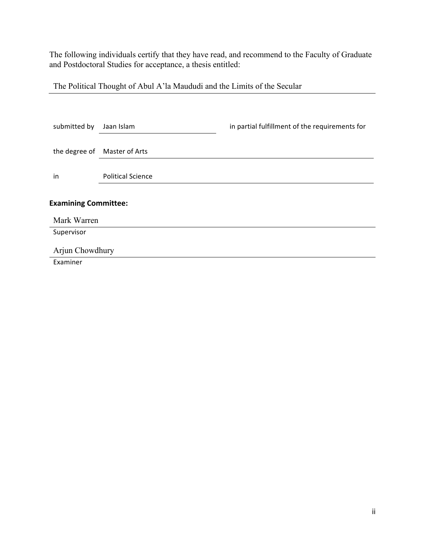The following individuals certify that they have read, and recommend to the Faculty of Graduate and Postdoctoral Studies for acceptance, a thesis entitled:

The Political Thought of Abul A'la Maududi and the Limits of the Secular

| submitted by                | Jaan Islam                   | in partial fulfillment of the requirements for |  |  |
|-----------------------------|------------------------------|------------------------------------------------|--|--|
|                             | the degree of Master of Arts |                                                |  |  |
| in                          | <b>Political Science</b>     |                                                |  |  |
| <b>Examining Committee:</b> |                              |                                                |  |  |
| Mark Warren                 |                              |                                                |  |  |
| Supervisor                  |                              |                                                |  |  |
| Arjun Chowdhury             |                              |                                                |  |  |
| Examiner                    |                              |                                                |  |  |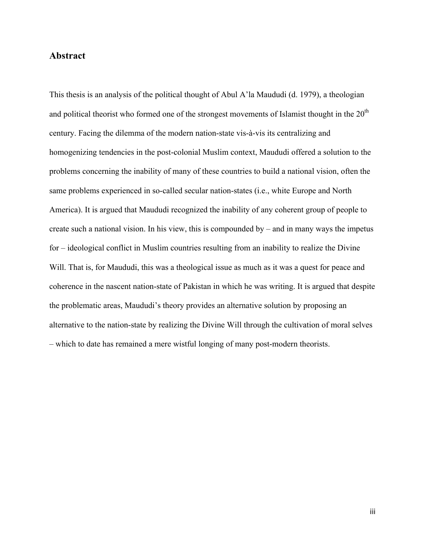#### **Abstract**

This thesis is an analysis of the political thought of Abul A'la Maududi (d. 1979), a theologian and political theorist who formed one of the strongest movements of Islamist thought in the  $20<sup>th</sup>$ century. Facing the dilemma of the modern nation-state vis-à-vis its centralizing and homogenizing tendencies in the post-colonial Muslim context, Maududi offered a solution to the problems concerning the inability of many of these countries to build a national vision, often the same problems experienced in so-called secular nation-states (i.e., white Europe and North America). It is argued that Maududi recognized the inability of any coherent group of people to create such a national vision. In his view, this is compounded by – and in many ways the impetus for – ideological conflict in Muslim countries resulting from an inability to realize the Divine Will. That is, for Maududi, this was a theological issue as much as it was a quest for peace and coherence in the nascent nation-state of Pakistan in which he was writing. It is argued that despite the problematic areas, Maududi's theory provides an alternative solution by proposing an alternative to the nation-state by realizing the Divine Will through the cultivation of moral selves – which to date has remained a mere wistful longing of many post-modern theorists.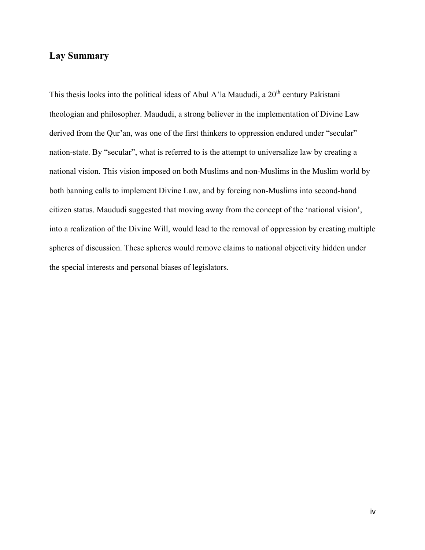## **Lay Summary**

This thesis looks into the political ideas of Abul A'la Maududi, a  $20<sup>th</sup>$  century Pakistani theologian and philosopher. Maududi, a strong believer in the implementation of Divine Law derived from the Qur'an, was one of the first thinkers to oppression endured under "secular" nation-state. By "secular", what is referred to is the attempt to universalize law by creating a national vision. This vision imposed on both Muslims and non-Muslims in the Muslim world by both banning calls to implement Divine Law, and by forcing non-Muslims into second-hand citizen status. Maududi suggested that moving away from the concept of the 'national vision', into a realization of the Divine Will, would lead to the removal of oppression by creating multiple spheres of discussion. These spheres would remove claims to national objectivity hidden under the special interests and personal biases of legislators.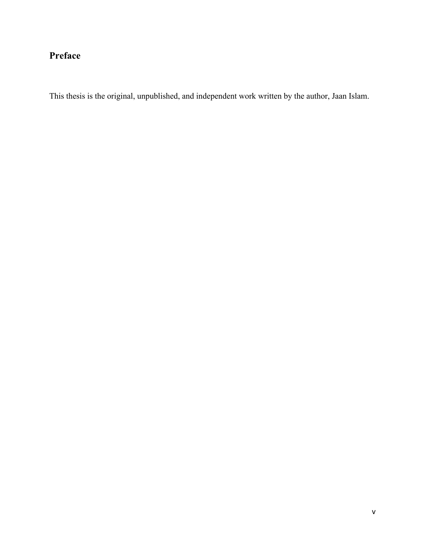## **Preface**

This thesis is the original, unpublished, and independent work written by the author, Jaan Islam.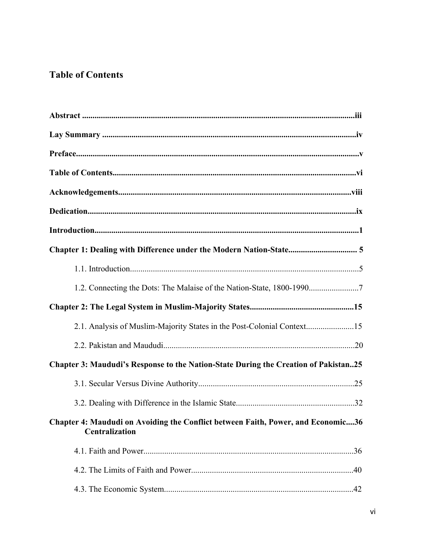## **Table of Contents**

| 1.2. Connecting the Dots: The Malaise of the Nation-State, 1800-19907                                     |  |  |  |
|-----------------------------------------------------------------------------------------------------------|--|--|--|
|                                                                                                           |  |  |  |
|                                                                                                           |  |  |  |
|                                                                                                           |  |  |  |
| Chapter 3: Maududi's Response to the Nation-State During the Creation of Pakistan25                       |  |  |  |
|                                                                                                           |  |  |  |
|                                                                                                           |  |  |  |
| Chapter 4: Maududi on Avoiding the Conflict between Faith, Power, and Economic36<br><b>Centralization</b> |  |  |  |
|                                                                                                           |  |  |  |
|                                                                                                           |  |  |  |
|                                                                                                           |  |  |  |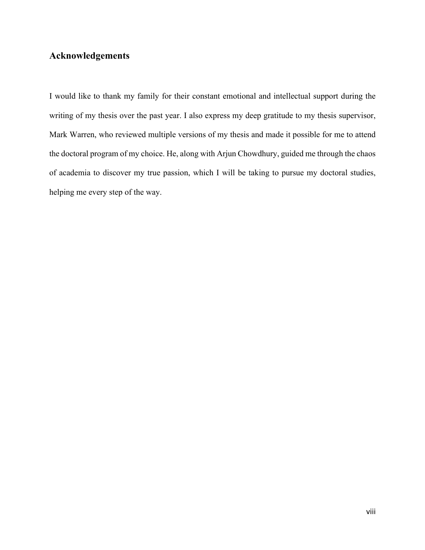## **Acknowledgements**

I would like to thank my family for their constant emotional and intellectual support during the writing of my thesis over the past year. I also express my deep gratitude to my thesis supervisor, Mark Warren, who reviewed multiple versions of my thesis and made it possible for me to attend the doctoral program of my choice. He, along with Arjun Chowdhury, guided me through the chaos of academia to discover my true passion, which I will be taking to pursue my doctoral studies, helping me every step of the way.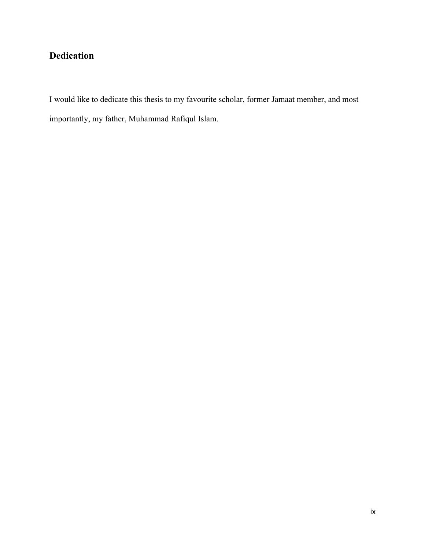## **Dedication**

I would like to dedicate this thesis to my favourite scholar, former Jamaat member, and most importantly, my father, Muhammad Rafiqul Islam.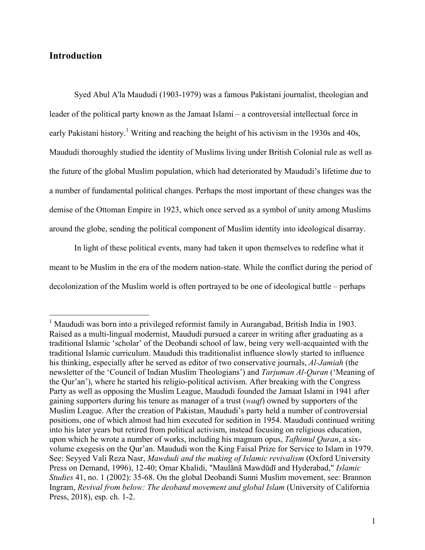#### **Introduction**

Syed Abul A'la Maududi (1903-1979) was a famous Pakistani journalist, theologian and leader of the political party known as the Jamaat Islami – a controversial intellectual force in early Pakistani history.<sup>1</sup> Writing and reaching the height of his activism in the 1930s and 40s, Maududi thoroughly studied the identity of Muslims living under British Colonial rule as well as the future of the global Muslim population, which had deteriorated by Maududi's lifetime due to a number of fundamental political changes. Perhaps the most important of these changes was the demise of the Ottoman Empire in 1923, which once served as a symbol of unity among Muslims around the globe, sending the political component of Muslim identity into ideological disarray.

In light of these political events, many had taken it upon themselves to redefine what it meant to be Muslim in the era of the modern nation-state. While the conflict during the period of decolonization of the Muslim world is often portrayed to be one of ideological battle – perhaps

<sup>&</sup>lt;sup>1</sup> Maududi was born into a privileged reformist family in Aurangabad, British India in 1903. Raised as a multi-lingual modernist, Maududi pursued a career in writing after graduating as a traditional Islamic 'scholar' of the Deobandi school of law, being very well-acquainted with the traditional Islamic curriculum. Maududi this traditionalist influence slowly started to influence his thinking, especially after he served as editor of two conservative journals, *Al-Jamiah* (the newsletter of the 'Council of Indian Muslim Theologians') and *Tarjuman Al-Quran* ('Meaning of the Qur'an'), where he started his religio-political activism. After breaking with the Congress Party as well as opposing the Muslim League, Maududi founded the Jamaat Islami in 1941 after gaining supporters during his tenure as manager of a trust (*waqf*) owned by supporters of the Muslim League. After the creation of Pakistan, Maududi's party held a number of controversial positions, one of which almost had him executed for sedition in 1954. Maududi continued writing into his later years but retired from political activism, instead focusing on religious education, upon which he wrote a number of works, including his magnum opus, *Tafhimul Quran*, a sixvolume exegesis on the Qur'an. Maududi won the King Faisal Prize for Service to Islam in 1979. See: Seyyed Vali Reza Nasr, *Mawdudi and the making of Islamic revivalism* (Oxford University Press on Demand, 1996), 12-40; Omar Khalidi, "Maulānā Mawdūdī and Hyderabad," *Islamic Studies* 41, no. 1 (2002): 35-68. On the global Deobandi Sunni Muslim movement, see: Brannon Ingram, *Revival from below: The deoband movement and global Islam* (University of California Press, 2018), esp. ch. 1-2.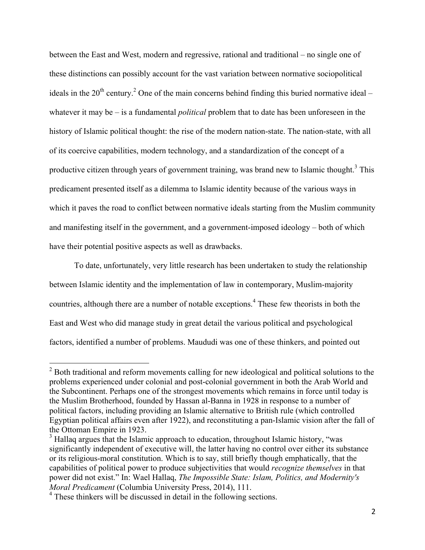between the East and West, modern and regressive, rational and traditional – no single one of these distinctions can possibly account for the vast variation between normative sociopolitical ideals in the  $20^{th}$  century.<sup>2</sup> One of the main concerns behind finding this buried normative ideal – whatever it may be – is a fundamental *political* problem that to date has been unforeseen in the history of Islamic political thought: the rise of the modern nation-state. The nation-state, with all of its coercive capabilities, modern technology, and a standardization of the concept of a productive citizen through years of government training, was brand new to Islamic thought.<sup>3</sup> This predicament presented itself as a dilemma to Islamic identity because of the various ways in which it paves the road to conflict between normative ideals starting from the Muslim community and manifesting itself in the government, and a government-imposed ideology – both of which have their potential positive aspects as well as drawbacks.

To date, unfortunately, very little research has been undertaken to study the relationship between Islamic identity and the implementation of law in contemporary, Muslim-majority countries, although there are a number of notable exceptions.<sup>4</sup> These few theorists in both the East and West who did manage study in great detail the various political and psychological factors, identified a number of problems. Maududi was one of these thinkers, and pointed out

 $2^2$  Both traditional and reform movements calling for new ideological and political solutions to the problems experienced under colonial and post-colonial government in both the Arab World and the Subcontinent. Perhaps one of the strongest movements which remains in force until today is the Muslim Brotherhood, founded by Hassan al-Banna in 1928 in response to a number of political factors, including providing an Islamic alternative to British rule (which controlled Egyptian political affairs even after 1922), and reconstituting a pan-Islamic vision after the fall of the Ottoman Empire in 1923.

<sup>&</sup>lt;sup>3</sup> Hallaq argues that the Islamic approach to education, throughout Islamic history, "was significantly independent of executive will, the latter having no control over either its substance or its religious-moral constitution. Which is to say, still briefly though emphatically, that the capabilities of political power to produce subjectivities that would *recognize themselves* in that power did not exist." In: Wael Hallaq, *The Impossible State: Islam, Politics, and Modernity's Moral Predicament* (Columbia University Press, 2014), 111.

<sup>&</sup>lt;sup>4</sup> These thinkers will be discussed in detail in the following sections.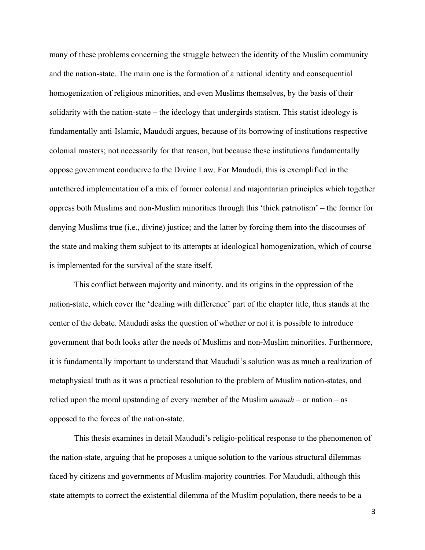many of these problems concerning the struggle between the identity of the Muslim community and the nation-state. The main one is the formation of a national identity and consequential homogenization of religious minorities, and even Muslims themselves, by the basis of their solidarity with the nation-state – the ideology that undergirds statism. This statist ideology is fundamentally anti-Islamic, Maududi argues, because of its borrowing of institutions respective colonial masters; not necessarily for that reason, but because these institutions fundamentally oppose government conducive to the Divine Law. For Maududi, this is exemplified in the untethered implementation of a mix of former colonial and majoritarian principles which together oppress both Muslims and non-Muslim minorities through this 'thick patriotism' – the former for denying Muslims true (i.e., divine) justice; and the latter by forcing them into the discourses of the state and making them subject to its attempts at ideological homogenization, which of course is implemented for the survival of the state itself.

This conflict between majority and minority, and its origins in the oppression of the nation-state, which cover the 'dealing with difference' part of the chapter title, thus stands at the center of the debate. Maududi asks the question of whether or not it is possible to introduce government that both looks after the needs of Muslims and non-Muslim minorities. Furthermore, it is fundamentally important to understand that Maududi's solution was as much a realization of metaphysical truth as it was a practical resolution to the problem of Muslim nation-states, and relied upon the moral upstanding of every member of the Muslim *ummah* – or nation – as opposed to the forces of the nation-state.

This thesis examines in detail Maududi's religio-political response to the phenomenon of the nation-state, arguing that he proposes a unique solution to the various structural dilemmas faced by citizens and governments of Muslim-majority countries. For Maududi, although this state attempts to correct the existential dilemma of the Muslim population, there needs to be a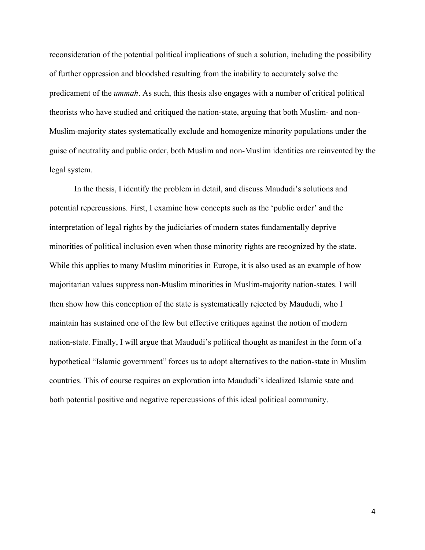reconsideration of the potential political implications of such a solution, including the possibility of further oppression and bloodshed resulting from the inability to accurately solve the predicament of the *ummah*. As such, this thesis also engages with a number of critical political theorists who have studied and critiqued the nation-state, arguing that both Muslim- and non-Muslim-majority states systematically exclude and homogenize minority populations under the guise of neutrality and public order, both Muslim and non-Muslim identities are reinvented by the legal system.

In the thesis, I identify the problem in detail, and discuss Maududi's solutions and potential repercussions. First, I examine how concepts such as the 'public order' and the interpretation of legal rights by the judiciaries of modern states fundamentally deprive minorities of political inclusion even when those minority rights are recognized by the state. While this applies to many Muslim minorities in Europe, it is also used as an example of how majoritarian values suppress non-Muslim minorities in Muslim-majority nation-states. I will then show how this conception of the state is systematically rejected by Maududi, who I maintain has sustained one of the few but effective critiques against the notion of modern nation-state. Finally, I will argue that Maududi's political thought as manifest in the form of a hypothetical "Islamic government" forces us to adopt alternatives to the nation-state in Muslim countries. This of course requires an exploration into Maududi's idealized Islamic state and both potential positive and negative repercussions of this ideal political community.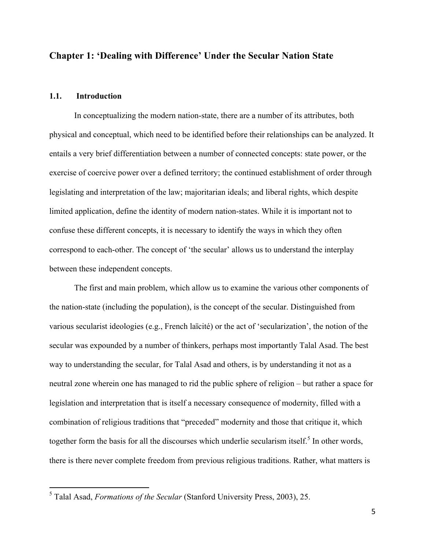## **Chapter 1: 'Dealing with Difference' Under the Secular Nation State**

#### **1.1. Introduction**

In conceptualizing the modern nation-state, there are a number of its attributes, both physical and conceptual, which need to be identified before their relationships can be analyzed. It entails a very brief differentiation between a number of connected concepts: state power, or the exercise of coercive power over a defined territory; the continued establishment of order through legislating and interpretation of the law; majoritarian ideals; and liberal rights, which despite limited application, define the identity of modern nation-states. While it is important not to confuse these different concepts, it is necessary to identify the ways in which they often correspond to each-other. The concept of 'the secular' allows us to understand the interplay between these independent concepts.

The first and main problem, which allow us to examine the various other components of the nation-state (including the population), is the concept of the secular. Distinguished from various secularist ideologies (e.g., French laïcité) or the act of 'secularization', the notion of the secular was expounded by a number of thinkers, perhaps most importantly Talal Asad. The best way to understanding the secular, for Talal Asad and others, is by understanding it not as a neutral zone wherein one has managed to rid the public sphere of religion – but rather a space for legislation and interpretation that is itself a necessary consequence of modernity, filled with a combination of religious traditions that "preceded" modernity and those that critique it, which together form the basis for all the discourses which underlie secularism itself.<sup>5</sup> In other words, there is there never complete freedom from previous religious traditions. Rather, what matters is

 <sup>5</sup> Talal Asad, *Formations of the Secular* (Stanford University Press, 2003), 25.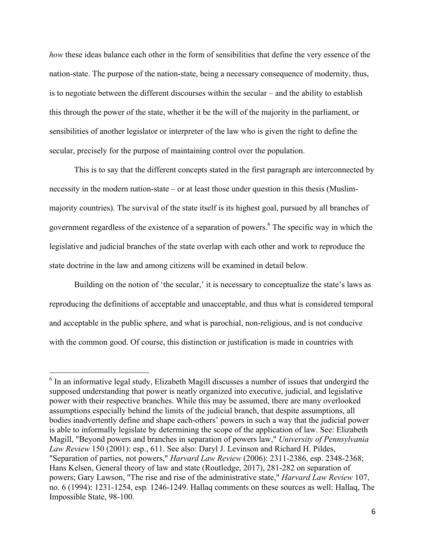*how* these ideas balance each other in the form of sensibilities that define the very essence of the nation-state. The purpose of the nation-state, being a necessary consequence of modernity, thus, is to negotiate between the different discourses within the secular – and the ability to establish this through the power of the state, whether it be the will of the majority in the parliament, or sensibilities of another legislator or interpreter of the law who is given the right to define the secular, precisely for the purpose of maintaining control over the population.

This is to say that the different concepts stated in the first paragraph are interconnected by necessity in the modern nation-state – or at least those under question in this thesis (Muslimmajority countries). The survival of the state itself is its highest goal, pursued by all branches of government regardless of the existence of a separation of powers. <sup>6</sup> The specific way in which the legislative and judicial branches of the state overlap with each other and work to reproduce the state doctrine in the law and among citizens will be examined in detail below.

Building on the notion of 'the secular,' it is necessary to conceptualize the state's laws as reproducing the definitions of acceptable and unacceptable, and thus what is considered temporal and acceptable in the public sphere, and what is parochial, non-religious, and is not conducive with the common good. Of course, this distinction or justification is made in countries with

<sup>&</sup>lt;sup>6</sup> In an informative legal study, Elizabeth Magill discusses a number of issues that undergird the supposed understanding that power is neatly organized into executive, judicial, and legislative power with their respective branches. While this may be assumed, there are many overlooked assumptions especially behind the limits of the judicial branch, that despite assumptions, all bodies inadvertently define and shape each-others' powers in such a way that the judicial power is able to informally legislate by determining the scope of the application of law. See: Elizabeth Magill, "Beyond powers and branches in separation of powers law," *University of Pennsylvania Law Review* 150 (2001): esp., 611. See also: Daryl J. Levinson and Richard H. Pildes, "Separation of parties, not powers," *Harvard Law Review* (2006): 2311-2386, esp. 2348-2368; Hans Kelsen, General theory of law and state (Routledge, 2017), 281-282 on separation of powers; Gary Lawson, "The rise and rise of the administrative state," *Harvard Law Review* 107, no. 6 (1994): 1231-1254, esp. 1246-1249. Hallaq comments on these sources as well: Hallaq, The Impossible State, 98-100.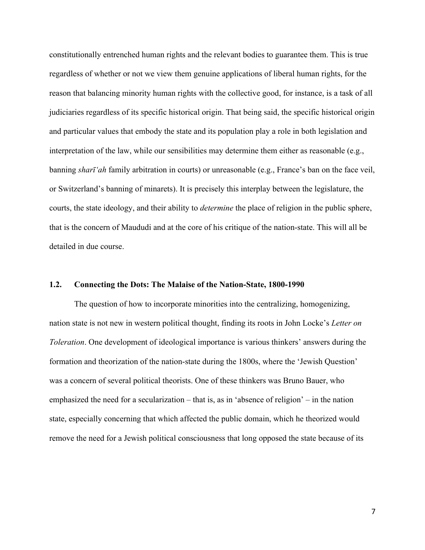constitutionally entrenched human rights and the relevant bodies to guarantee them. This is true regardless of whether or not we view them genuine applications of liberal human rights, for the reason that balancing minority human rights with the collective good, for instance, is a task of all judiciaries regardless of its specific historical origin. That being said, the specific historical origin and particular values that embody the state and its population play a role in both legislation and interpretation of the law, while our sensibilities may determine them either as reasonable (e.g., banning *sharī'ah* family arbitration in courts) or unreasonable (e.g., France's ban on the face veil, or Switzerland's banning of minarets). It is precisely this interplay between the legislature, the courts, the state ideology, and their ability to *determine* the place of religion in the public sphere, that is the concern of Maududi and at the core of his critique of the nation-state. This will all be detailed in due course.

#### **1.2. Connecting the Dots: The Malaise of the Nation-State, 1800-1990**

The question of how to incorporate minorities into the centralizing, homogenizing, nation state is not new in western political thought, finding its roots in John Locke's *Letter on Toleration*. One development of ideological importance is various thinkers' answers during the formation and theorization of the nation-state during the 1800s, where the 'Jewish Question' was a concern of several political theorists. One of these thinkers was Bruno Bauer, who emphasized the need for a secularization – that is, as in 'absence of religion' – in the nation state, especially concerning that which affected the public domain, which he theorized would remove the need for a Jewish political consciousness that long opposed the state because of its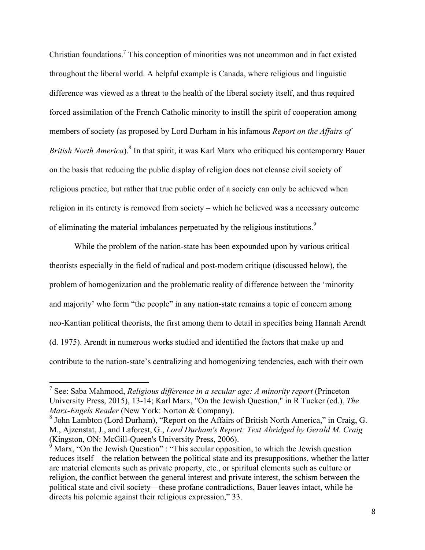Christian foundations. <sup>7</sup> This conception of minorities was not uncommon and in fact existed throughout the liberal world. A helpful example is Canada, where religious and linguistic difference was viewed as a threat to the health of the liberal society itself, and thus required forced assimilation of the French Catholic minority to instill the spirit of cooperation among members of society (as proposed by Lord Durham in his infamous *Report on the Affairs of British North America*).8 In that spirit, it was Karl Marx who critiqued his contemporary Bauer on the basis that reducing the public display of religion does not cleanse civil society of religious practice, but rather that true public order of a society can only be achieved when religion in its entirety is removed from society – which he believed was a necessary outcome of eliminating the material imbalances perpetuated by the religious institutions.<sup>9</sup>

While the problem of the nation-state has been expounded upon by various critical theorists especially in the field of radical and post-modern critique (discussed below), the problem of homogenization and the problematic reality of difference between the 'minority and majority' who form "the people" in any nation-state remains a topic of concern among neo-Kantian political theorists, the first among them to detail in specifics being Hannah Arendt (d. 1975). Arendt in numerous works studied and identified the factors that make up and contribute to the nation-state's centralizing and homogenizing tendencies, each with their own

 <sup>7</sup> See: Saba Mahmood, *Religious difference in <sup>a</sup> secular age: <sup>A</sup> minority report* (Princeton University Press, 2015), 13-14; Karl Marx, "On the Jewish Question," in R Tucker (ed.), *The Marx-Engels Reader* (New York: Norton & Company).

<sup>8</sup> John Lambton (Lord Durham), "Report on the Affairs of British North America," in Craig, G. M., Ajzenstat, J., and Laforest, G., *Lord Durham's Report: Text Abridged by Gerald M. Craig* (Kingston, ON: McGill-Queen's University Press, 2006).

 $9^9$  Marx, "On the Jewish Question" : "This secular opposition, to which the Jewish question reduces itself—the relation between the political state and its presuppositions, whether the latter are material elements such as private property, etc., or spiritual elements such as culture or religion, the conflict between the general interest and private interest, the schism between the political state and civil society—these profane contradictions, Bauer leaves intact, while he directs his polemic against their religious expression," 33.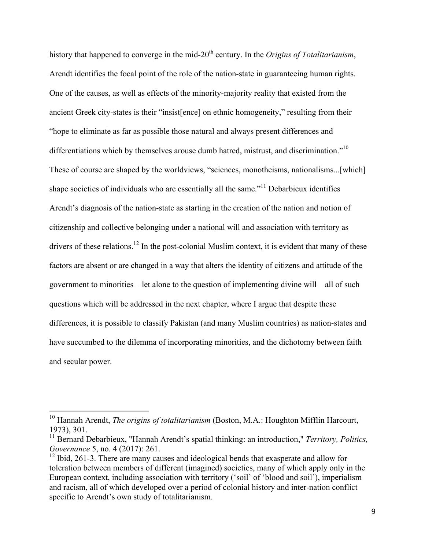history that happened to converge in the mid-20<sup>th</sup> century. In the *Origins of Totalitarianism*, Arendt identifies the focal point of the role of the nation-state in guaranteeing human rights. One of the causes, as well as effects of the minority-majority reality that existed from the ancient Greek city-states is their "insist[ence] on ethnic homogeneity," resulting from their "hope to eliminate as far as possible those natural and always present differences and differentiations which by themselves arouse dumb hatred, mistrust, and discrimination."<sup>10</sup> These of course are shaped by the worldviews, "sciences, monotheisms, nationalisms...[which] shape societies of individuals who are essentially all the same."<sup>11</sup> Debarbieux identifies Arendt's diagnosis of the nation-state as starting in the creation of the nation and notion of citizenship and collective belonging under a national will and association with territory as drivers of these relations.<sup>12</sup> In the post-colonial Muslim context, it is evident that many of these factors are absent or are changed in a way that alters the identity of citizens and attitude of the government to minorities – let alone to the question of implementing divine will – all of such questions which will be addressed in the next chapter, where I argue that despite these differences, it is possible to classify Pakistan (and many Muslim countries) as nation-states and have succumbed to the dilemma of incorporating minorities, and the dichotomy between faith and secular power.

<sup>&</sup>lt;sup>10</sup> Hannah Arendt, *The origins of totalitarianism* (Boston, M.A.: Houghton Mifflin Harcourt, 1973), 301.

<sup>&</sup>lt;sup>11</sup> Bernard Debarbieux, "Hannah Arendt's spatial thinking: an introduction," *Territory, Politics, Governance* 5, no. 4 (2017): 261.

 $12$  Ibid, 261-3. There are many causes and ideological bends that exasperate and allow for toleration between members of different (imagined) societies, many of which apply only in the European context, including association with territory ('soil' of 'blood and soil'), imperialism and racism, all of which developed over a period of colonial history and inter-nation conflict specific to Arendt's own study of totalitarianism.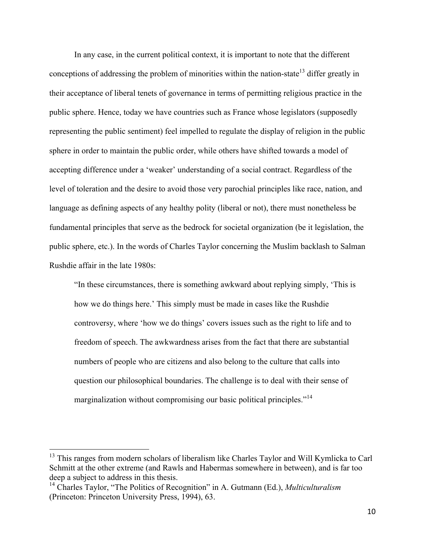In any case, in the current political context, it is important to note that the different conceptions of addressing the problem of minorities within the nation-state<sup>13</sup> differ greatly in their acceptance of liberal tenets of governance in terms of permitting religious practice in the public sphere. Hence, today we have countries such as France whose legislators (supposedly representing the public sentiment) feel impelled to regulate the display of religion in the public sphere in order to maintain the public order, while others have shifted towards a model of accepting difference under a 'weaker' understanding of a social contract. Regardless of the level of toleration and the desire to avoid those very parochial principles like race, nation, and language as defining aspects of any healthy polity (liberal or not), there must nonetheless be fundamental principles that serve as the bedrock for societal organization (be it legislation, the public sphere, etc.). In the words of Charles Taylor concerning the Muslim backlash to Salman Rushdie affair in the late 1980s:

"In these circumstances, there is something awkward about replying simply, 'This is how we do things here.' This simply must be made in cases like the Rushdie controversy, where 'how we do things' covers issues such as the right to life and to freedom of speech. The awkwardness arises from the fact that there are substantial numbers of people who are citizens and also belong to the culture that calls into question our philosophical boundaries. The challenge is to deal with their sense of marginalization without compromising our basic political principles."<sup>14</sup>

<sup>&</sup>lt;sup>13</sup> This ranges from modern scholars of liberalism like Charles Taylor and Will Kymlicka to Carl Schmitt at the other extreme (and Rawls and Habermas somewhere in between), and is far too deep a subject to address in this thesis.<br><sup>14</sup> Charles Taylor, "The Politics of Recognition" in A. Gutmann (Ed.), *Multiculturalism* 

<sup>(</sup>Princeton: Princeton University Press, 1994), 63.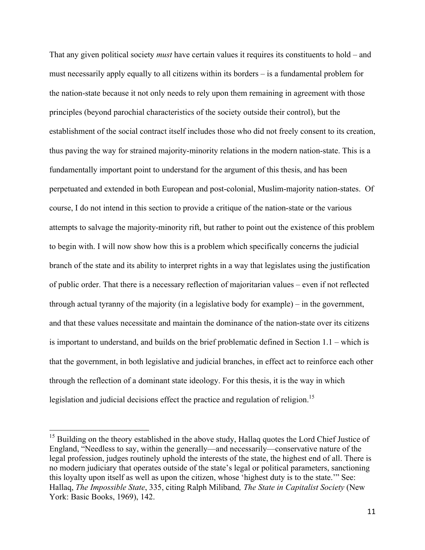That any given political society *must* have certain values it requires its constituents to hold – and must necessarily apply equally to all citizens within its borders – is a fundamental problem for the nation-state because it not only needs to rely upon them remaining in agreement with those principles (beyond parochial characteristics of the society outside their control), but the establishment of the social contract itself includes those who did not freely consent to its creation, thus paving the way for strained majority-minority relations in the modern nation-state. This is a fundamentally important point to understand for the argument of this thesis, and has been perpetuated and extended in both European and post-colonial, Muslim-majority nation-states. Of course, I do not intend in this section to provide a critique of the nation-state or the various attempts to salvage the majority-minority rift, but rather to point out the existence of this problem to begin with. I will now show how this is a problem which specifically concerns the judicial branch of the state and its ability to interpret rights in a way that legislates using the justification of public order. That there is a necessary reflection of majoritarian values – even if not reflected through actual tyranny of the majority (in a legislative body for example) – in the government, and that these values necessitate and maintain the dominance of the nation-state over its citizens is important to understand, and builds on the brief problematic defined in Section 1.1 – which is that the government, in both legislative and judicial branches, in effect act to reinforce each other through the reflection of a dominant state ideology. For this thesis, it is the way in which legislation and judicial decisions effect the practice and regulation of religion.<sup>15</sup>

<sup>&</sup>lt;sup>15</sup> Building on the theory established in the above study, Hallaq quotes the Lord Chief Justice of England, "Needless to say, within the generally—and necessarily—conservative nature of the legal profession, judges routinely uphold the interests of the state, the highest end of all. There is no modern judiciary that operates outside of the state's legal or political parameters, sanctioning this loyalty upon itself as well as upon the citizen, whose 'highest duty is to the state.'" See: Hallaq, *The Impossible State*, 335, citing Ralph Miliband*, The State in Capitalist Society* (New York: Basic Books, 1969), 142.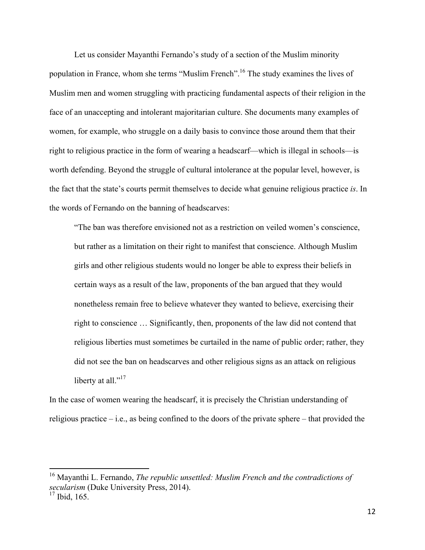Let us consider Mayanthi Fernando's study of a section of the Muslim minority population in France, whom she terms "Muslim French". <sup>16</sup> The study examines the lives of Muslim men and women struggling with practicing fundamental aspects of their religion in the face of an unaccepting and intolerant majoritarian culture. She documents many examples of women, for example, who struggle on a daily basis to convince those around them that their right to religious practice in the form of wearing a headscarf—which is illegal in schools—is worth defending. Beyond the struggle of cultural intolerance at the popular level, however, is the fact that the state's courts permit themselves to decide what genuine religious practice *is*. In the words of Fernando on the banning of headscarves:

"The ban was therefore envisioned not as a restriction on veiled women's conscience, but rather as a limitation on their right to manifest that conscience. Although Muslim girls and other religious students would no longer be able to express their beliefs in certain ways as a result of the law, proponents of the ban argued that they would nonetheless remain free to believe whatever they wanted to believe, exercising their right to conscience … Significantly, then, proponents of the law did not contend that religious liberties must sometimes be curtailed in the name of public order; rather, they did not see the ban on headscarves and other religious signs as an attack on religious liberty at all."<sup>17</sup>

In the case of women wearing the headscarf, it is precisely the Christian understanding of religious practice  $-$  i.e., as being confined to the doors of the private sphere – that provided the

 <sup>16</sup> Mayanthi L. Fernando, *The republic unsettled: Muslim French and the contradictions of secularism* (Duke University Press, 2014).

<sup>&</sup>lt;sup>17</sup> Ibid, 165.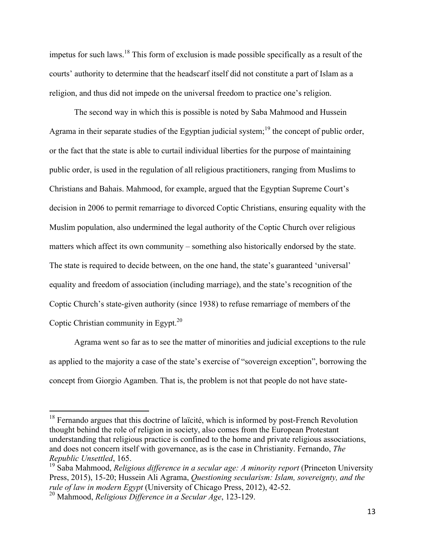impetus for such laws.<sup>18</sup> This form of exclusion is made possible specifically as a result of the courts' authority to determine that the headscarf itself did not constitute a part of Islam as a religion, and thus did not impede on the universal freedom to practice one's religion.

The second way in which this is possible is noted by Saba Mahmood and Hussein Agrama in their separate studies of the Egyptian judicial system;<sup>19</sup> the concept of public order, or the fact that the state is able to curtail individual liberties for the purpose of maintaining public order, is used in the regulation of all religious practitioners, ranging from Muslims to Christians and Bahais. Mahmood, for example, argued that the Egyptian Supreme Court's decision in 2006 to permit remarriage to divorced Coptic Christians, ensuring equality with the Muslim population, also undermined the legal authority of the Coptic Church over religious matters which affect its own community – something also historically endorsed by the state. The state is required to decide between, on the one hand, the state's guaranteed 'universal' equality and freedom of association (including marriage), and the state's recognition of the Coptic Church's state-given authority (since 1938) to refuse remarriage of members of the Coptic Christian community in Egypt. $^{20}$ 

Agrama went so far as to see the matter of minorities and judicial exceptions to the rule as applied to the majority a case of the state's exercise of "sovereign exception", borrowing the concept from Giorgio Agamben. That is, the problem is not that people do not have state-

<sup>&</sup>lt;sup>18</sup> Fernando argues that this doctrine of laïcité, which is informed by post-French Revolution thought behind the role of religion in society, also comes from the European Protestant understanding that religious practice is confined to the home and private religious associations, and does not concern itself with governance, as is the case in Christianity. Fernando, *The Republic Unsettled*, 165.

<sup>19</sup> Saba Mahmood, *Religious difference in a secular age: A minority report* (Princeton University Press, 2015), 15-20; Hussein Ali Agrama, *Questioning secularism: Islam, sovereignty, and the rule of law in modern Egypt* (University of Chicago Press, 2012), 42-52.

<sup>20</sup> Mahmood, *Religious Difference in a Secular Age*, 123-129.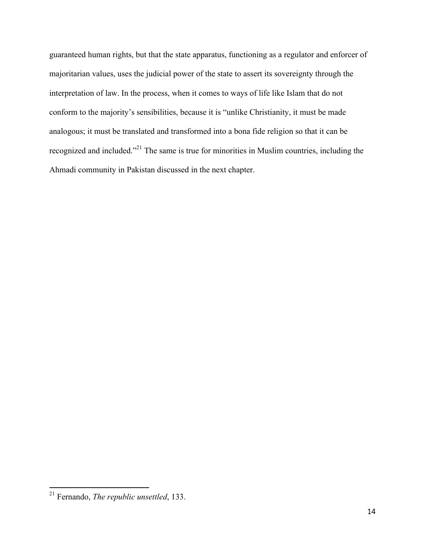guaranteed human rights, but that the state apparatus, functioning as a regulator and enforcer of majoritarian values, uses the judicial power of the state to assert its sovereignty through the interpretation of law. In the process, when it comes to ways of life like Islam that do not conform to the majority's sensibilities, because it is "unlike Christianity, it must be made analogous; it must be translated and transformed into a bona fide religion so that it can be recognized and included."<sup>21</sup> The same is true for minorities in Muslim countries, including the Ahmadi community in Pakistan discussed in the next chapter.

 <sup>21</sup> Fernando, *The republic unsettled*, 133.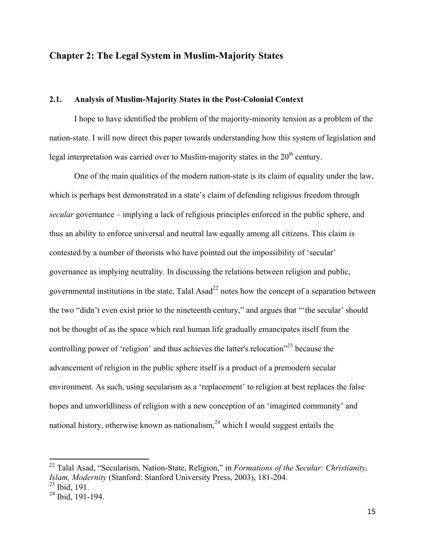#### **Chapter 2: The Legal System in Muslim-Majority States**

#### **2.1. Analysis of Muslim-Majority States in the Post-Colonial Context**

I hope to have identified the problem of the majority-minority tension as a problem of the nation-state. I will now direct this paper towards understanding how this system of legislation and legal interpretation was carried over to Muslim-majority states in the  $20<sup>th</sup>$  century.

One of the main qualities of the modern nation-state is its claim of equality under the law, which is perhaps best demonstrated in a state's claim of defending religious freedom through *secular* governance – implying a lack of religious principles enforced in the public sphere, and thus an ability to enforce universal and neutral law equally among all citizens. This claim is contested by a number of theorists who have pointed out the impossibility of 'secular' governance as implying neutrality. In discussing the relations between religion and public, governmental institutions in the state. Talal Asad<sup>22</sup> notes how the concept of a separation between the two "didn't even exist prior to the nineteenth century," and argues that "'the secular' should not be thought of as the space which real human life gradually emancipates itself from the controlling power of 'religion' and thus achieves the latter's relocation<sup>"23</sup> because the advancement of religion in the public sphere itself is a product of a premodern secular environment. As such, using secularism as a 'replacement' to religion at best replaces the false hopes and unworldliness of religion with a new conception of an 'imagined community' and national history, otherwise known as nationalism,  $24$  which I would suggest entails the

 <sup>22</sup> Talal Asad, "Secularism, Nation-State, Religion," in *Formations of the Secular: Christianity, Islam, Modernity* (Stanford: Stanford University Press, 2003), 181-204.

 $^{23}$  Ibid, 191.

 $24$  Ibid, 191-194.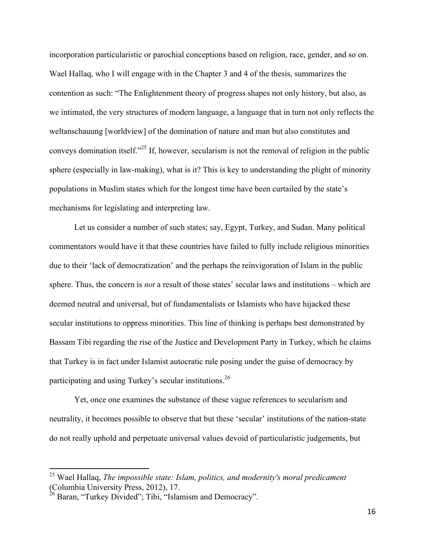incorporation particularistic or parochial conceptions based on religion, race, gender, and so on. Wael Hallaq, who I will engage with in the Chapter 3 and 4 of the thesis, summarizes the contention as such: "The Enlightenment theory of progress shapes not only history, but also, as we intimated, the very structures of modern language, a language that in turn not only reflects the weltanschauung [worldview] of the domination of nature and man but also constitutes and conveys domination itself. $25$  If, however, secularism is not the removal of religion in the public sphere (especially in law-making), what is it? This is key to understanding the plight of minority populations in Muslim states which for the longest time have been curtailed by the state's mechanisms for legislating and interpreting law.

Let us consider a number of such states; say, Egypt, Turkey, and Sudan. Many political commentators would have it that these countries have failed to fully include religious minorities due to their 'lack of democratization' and the perhaps the reinvigoration of Islam in the public sphere. Thus, the concern is *not* a result of those states' secular laws and institutions – which are deemed neutral and universal, but of fundamentalists or Islamists who have hijacked these secular institutions to oppress minorities. This line of thinking is perhaps best demonstrated by Bassam Tibi regarding the rise of the Justice and Development Party in Turkey, which he claims that Turkey is in fact under Islamist autocratic rule posing under the guise of democracy by participating and using Turkey's secular institutions.<sup>26</sup>

Yet, once one examines the substance of these vague references to secularism and neutrality, it becomes possible to observe that but these 'secular' institutions of the nation-state do not really uphold and perpetuate universal values devoid of particularistic judgements, but

 <sup>25</sup> Wael Hallaq, *The impossible state: Islam, politics, and modernity's moral predicament* (Columbia University Press, 2012), 17.

 $^{26}$  Baran, "Turkey Divided"; Tibi, "Islamism and Democracy".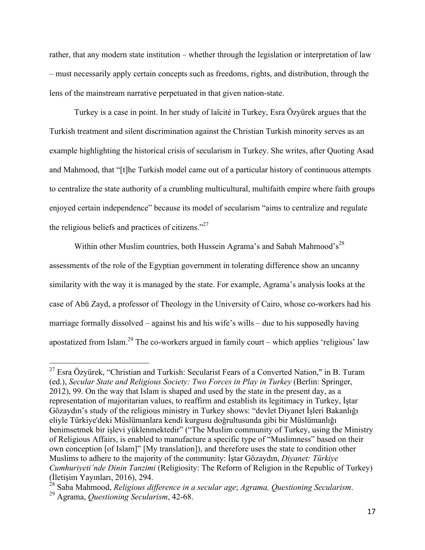rather, that any modern state institution – whether through the legislation or interpretation of law – must necessarily apply certain concepts such as freedoms, rights, and distribution, through the lens of the mainstream narrative perpetuated in that given nation-state.

Turkey is a case in point. In her study of laïcité in Turkey, Esra Özyürek argues that the Turkish treatment and silent discrimination against the Christian Turkish minority serves as an example highlighting the historical crisis of secularism in Turkey. She writes, after Quoting Asad and Mahmood, that "[t]he Turkish model came out of a particular history of continuous attempts to centralize the state authority of a crumbling multicultural, multifaith empire where faith groups enjoyed certain independence" because its model of secularism "aims to centralize and regulate the religious beliefs and practices of citizens. $^{27}$ 

Within other Muslim countries, both Hussein Agrama's and Sabah Mahmood's<sup>28</sup> assessments of the role of the Egyptian government in tolerating difference show an uncanny similarity with the way it is managed by the state. For example, Agrama's analysis looks at the case of Abū Zayd, a professor of Theology in the University of Cairo, whose co-workers had his marriage formally dissolved – against his and his wife's wills – due to his supposedly having apostatized from Islam.<sup>29</sup> The co-workers argued in family court – which applies 'religious' law

 $27$  Esra Özyürek, "Christian and Turkish: Secularist Fears of a Converted Nation," in B. Turam (ed.), *Secular State and Religious Society: Two Forces in Play in Turkey* (Berlin: Springer, 2012), 99. On the way that Islam is shaped and used by the state in the present day, as a representation of majoritarian values, to reaffirm and establish its legitimacy in Turkey, İştar Gözaydın's study of the religious ministry in Turkey shows: "devlet Diyanet İşleri Bakanlığı eliyle Türkiye'deki Müslümanlara kendi kurgusu doğrultusunda gibi bir Müslümanlığı benimsetmek bir işlevi yüklenmektedir" ("The Muslim community of Turkey, using the Ministry of Religious Affairs, is enabled to manufacture a specific type of "Muslimness" based on their own conception [of Islam]" [My translation]), and therefore uses the state to condition other Muslims to adhere to the majority of the community: İştar Gözaydın, *Diyanet: Türkiye Cumhuriyeti'nde Dinin Tanzimi* (Religiosity: The Reform of Religion in the Republic of Turkey) (İletişim Yayınları, 2016), 294.

<sup>28</sup> Saba Mahmood, *Religious difference in <sup>a</sup> secular age*; *Agrama, Questioning Secularism*. <sup>29</sup> Agrama, *Questioning Secularism*, 42-68.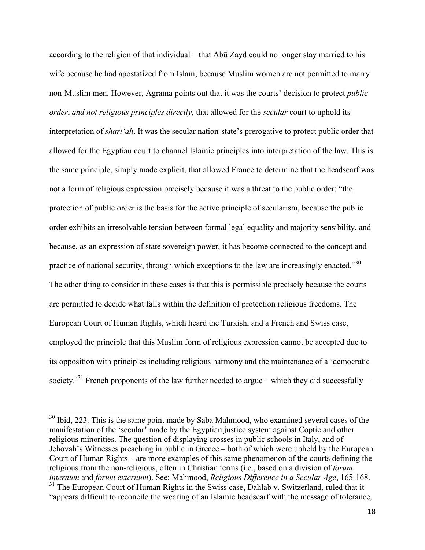according to the religion of that individual – that Abū Zayd could no longer stay married to his wife because he had apostatized from Islam; because Muslim women are not permitted to marry non-Muslim men. However, Agrama points out that it was the courts' decision to protect *public order*, *and not religious principles directly*, that allowed for the *secular* court to uphold its interpretation of *sharī'ah*. It was the secular nation-state's prerogative to protect public order that allowed for the Egyptian court to channel Islamic principles into interpretation of the law. This is the same principle, simply made explicit, that allowed France to determine that the headscarf was not a form of religious expression precisely because it was a threat to the public order: "the protection of public order is the basis for the active principle of secularism, because the public order exhibits an irresolvable tension between formal legal equality and majority sensibility, and because, as an expression of state sovereign power, it has become connected to the concept and practice of national security, through which exceptions to the law are increasingly enacted."<sup>30</sup> The other thing to consider in these cases is that this is permissible precisely because the courts are permitted to decide what falls within the definition of protection religious freedoms. The European Court of Human Rights, which heard the Turkish, and a French and Swiss case, employed the principle that this Muslim form of religious expression cannot be accepted due to its opposition with principles including religious harmony and the maintenance of a 'democratic society.<sup>31</sup> French proponents of the law further needed to argue – which they did successfully –

<sup>&</sup>lt;sup>30</sup> Ibid, 223. This is the same point made by Saba Mahmood, who examined several cases of the manifestation of the 'secular' made by the Egyptian justice system against Coptic and other religious minorities. The question of displaying crosses in public schools in Italy, and of Jehovah's Witnesses preaching in public in Greece – both of which were upheld by the European Court of Human Rights – are more examples of this same phenomenon of the courts defining the religious from the non-religious, often in Christian terms (i.e., based on a division of *forum internum* and *forum externum*). See: Mahmood, *Religious Difference in a Secular Age*, 165-168. <sup>31</sup> The European Court of Human Rights in the Swiss case, Dahlab v. Switzerland, ruled that it "appears difficult to reconcile the wearing of an Islamic headscarf with the message of tolerance,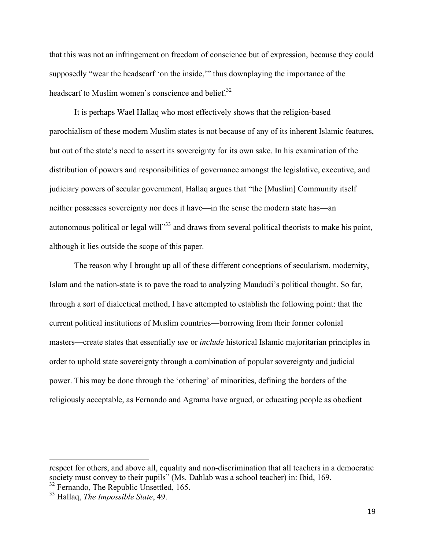that this was not an infringement on freedom of conscience but of expression, because they could supposedly "wear the headscarf 'on the inside,'" thus downplaying the importance of the headscarf to Muslim women's conscience and belief. $32$ 

It is perhaps Wael Hallaq who most effectively shows that the religion-based parochialism of these modern Muslim states is not because of any of its inherent Islamic features, but out of the state's need to assert its sovereignty for its own sake. In his examination of the distribution of powers and responsibilities of governance amongst the legislative, executive, and judiciary powers of secular government, Hallaq argues that "the [Muslim] Community itself neither possesses sovereignty nor does it have—in the sense the modern state has—an autonomous political or legal will"<sup>33</sup> and draws from several political theorists to make his point, although it lies outside the scope of this paper.

The reason why I brought up all of these different conceptions of secularism, modernity, Islam and the nation-state is to pave the road to analyzing Maududi's political thought. So far, through a sort of dialectical method, I have attempted to establish the following point: that the current political institutions of Muslim countries—borrowing from their former colonial masters—create states that essentially *use* or *include* historical Islamic majoritarian principles in order to uphold state sovereignty through a combination of popular sovereignty and judicial power. This may be done through the 'othering' of minorities, defining the borders of the religiously acceptable, as Fernando and Agrama have argued, or educating people as obedient

respect for others, and above all, equality and non-discrimination that all teachers in a democratic society must convey to their pupils" (Ms. Dahlab was a school teacher) in: Ibid, 169.

<sup>&</sup>lt;sup>32</sup> Fernando, The Republic Unsettled, 165.

<sup>33</sup> Hallaq, *The Impossible State*, 49.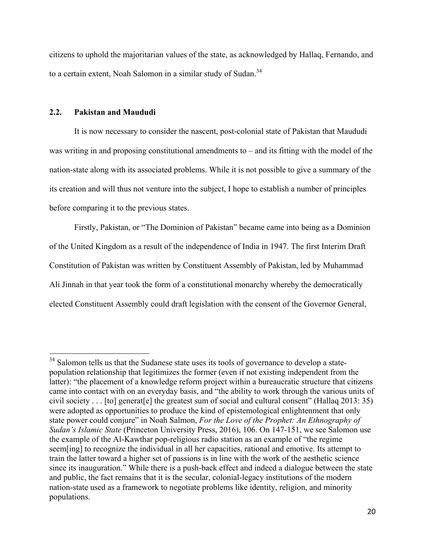citizens to uphold the majoritarian values of the state, as acknowledged by Hallaq, Fernando, and to a certain extent, Noah Salomon in a similar study of Sudan.<sup>34</sup>

#### **2.2. Pakistan and Maududi**

It is now necessary to consider the nascent, post-colonial state of Pakistan that Maududi was writing in and proposing constitutional amendments to – and its fitting with the model of the nation-state along with its associated problems. While it is not possible to give a summary of the its creation and will thus not venture into the subject, I hope to establish a number of principles before comparing it to the previous states.

Firstly, Pakistan, or "The Dominion of Pakistan" became came into being as a Dominion of the United Kingdom as a result of the independence of India in 1947. The first Interim Draft Constitution of Pakistan was written by Constituent Assembly of Pakistan, led by Muhammad Ali Jinnah in that year took the form of a constitutional monarchy whereby the democratically elected Constituent Assembly could draft legislation with the consent of the Governor General,

 $34$  Salomon tells us that the Sudanese state uses its tools of governance to develop a statepopulation relationship that legitimizes the former (even if not existing independent from the latter): "the placement of a knowledge reform project within a bureaucratic structure that citizens came into contact with on an everyday basis, and "the ability to work through the various units of civil society . . . [to] generat[e] the greatest sum of social and cultural consent" (Hallaq 2013: 35) were adopted as opportunities to produce the kind of epistemological enlightenment that only state power could conjure" in Noah Salmon, *For the Love of the Prophet: An Ethnography of Sudan's Islamic State* (Princeton University Press, 2016), 106. On 147-151, we see Salomon use the example of the Al-Kawthar pop-religious radio station as an example of "the regime seem[ing] to recognize the individual in all her capacities, rational and emotive. Its attempt to train the latter toward a higher set of passions is in line with the work of the aesthetic science since its inauguration." While there is a push-back effect and indeed a dialogue between the state and public, the fact remains that it is the secular, colonial-legacy institutions of the modern nation-state used as a framework to negotiate problems like identity, religion, and minority populations.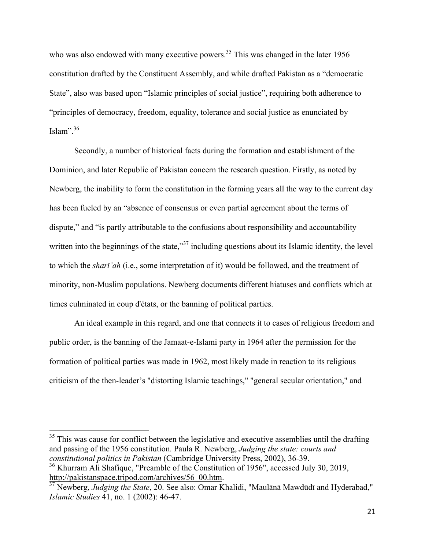who was also endowed with many executive powers.<sup>35</sup> This was changed in the later 1956 constitution drafted by the Constituent Assembly, and while drafted Pakistan as a "democratic State", also was based upon "Islamic principles of social justice", requiring both adherence to "principles of democracy, freedom, equality, tolerance and social justice as enunciated by Islam". $36$ 

Secondly, a number of historical facts during the formation and establishment of the Dominion, and later Republic of Pakistan concern the research question. Firstly, as noted by Newberg, the inability to form the constitution in the forming years all the way to the current day has been fueled by an "absence of consensus or even partial agreement about the terms of dispute," and "is partly attributable to the confusions about responsibility and accountability written into the beginnings of the state,<sup>37</sup> including questions about its Islamic identity, the level to which the *sharī'ah* (i.e., some interpretation of it) would be followed, and the treatment of minority, non-Muslim populations. Newberg documents different hiatuses and conflicts which at times culminated in coup d'états, or the banning of political parties.

An ideal example in this regard, and one that connects it to cases of religious freedom and public order, is the banning of the Jamaat-e-Islami party in 1964 after the permission for the formation of political parties was made in 1962, most likely made in reaction to its religious criticism of the then-leader's "distorting Islamic teachings," "general secular orientation," and

 $35$  This was cause for conflict between the legislative and executive assemblies until the drafting and passing of the 1956 constitution. Paula R. Newberg, *Judging the state: courts and constitutional politics in Pakistan* (Cambridge University Press, 2002), 36-39. <sup>36</sup> Khurram Ali Shafique, "Preamble of the Constitution of 1956", accessed July 30, 2019,

http://pakistanspace.tripod.com/archives/56\_00.htm. <sup>37</sup> Newberg, *Judging the State*, 20. See also: Omar Khalidi, "Maulānā Mawdūdī and Hyderabad," *Islamic Studies* 41, no. 1 (2002): 46-47.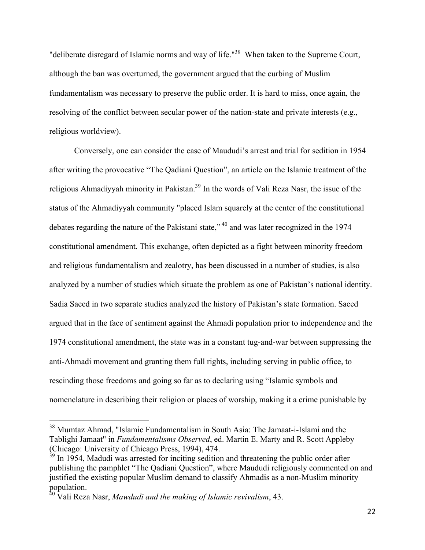"deliberate disregard of Islamic norms and way of life."<sup>38</sup> When taken to the Supreme Court, although the ban was overturned, the government argued that the curbing of Muslim fundamentalism was necessary to preserve the public order. It is hard to miss, once again, the resolving of the conflict between secular power of the nation-state and private interests (e.g., religious worldview).

Conversely, one can consider the case of Maududi's arrest and trial for sedition in 1954 after writing the provocative "The Qadiani Question", an article on the Islamic treatment of the religious Ahmadiyyah minority in Pakistan.<sup>39</sup> In the words of Vali Reza Nasr, the issue of the status of the Ahmadiyyah community "placed Islam squarely at the center of the constitutional debates regarding the nature of the Pakistani state,"<sup>40</sup> and was later recognized in the 1974 constitutional amendment. This exchange, often depicted as a fight between minority freedom and religious fundamentalism and zealotry, has been discussed in a number of studies, is also analyzed by a number of studies which situate the problem as one of Pakistan's national identity. Sadia Saeed in two separate studies analyzed the history of Pakistan's state formation. Saeed argued that in the face of sentiment against the Ahmadi population prior to independence and the 1974 constitutional amendment, the state was in a constant tug-and-war between suppressing the anti-Ahmadi movement and granting them full rights, including serving in public office, to rescinding those freedoms and going so far as to declaring using "Islamic symbols and nomenclature in describing their religion or places of worship, making it a crime punishable by

 <sup>38</sup> Mumtaz Ahmad, "Islamic Fundamentalism in South Asia: The Jamaat-i-Islami and the Tablighi Jamaat" in *Fundamentalisms Observed*, ed. Martin E. Marty and R. Scott Appleby (Chicago: University of Chicago Press, 1994), 474.

 $39$  In 1954, Madudi was arrested for inciting sedition and threatening the public order after publishing the pamphlet "The Qadiani Question", where Maududi religiously commented on and justified the existing popular Muslim demand to classify Ahmadis as a non-Muslim minority population.

<sup>40</sup> Vali Reza Nasr, *Mawdudi and the making of Islamic revivalism*, 43.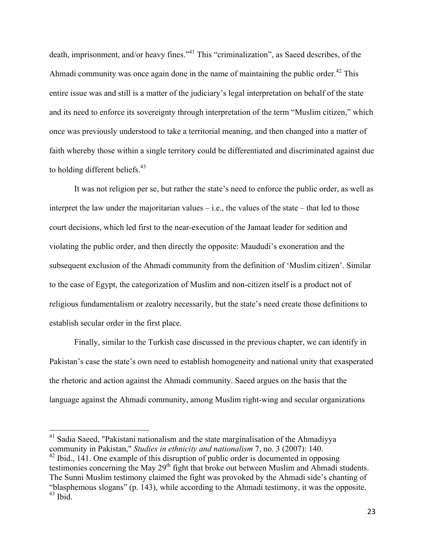death, imprisonment, and/or heavy fines."<sup>41</sup> This "criminalization", as Saeed describes, of the Ahmadi community was once again done in the name of maintaining the public order.<sup>42</sup> This entire issue was and still is a matter of the judiciary's legal interpretation on behalf of the state and its need to enforce its sovereignty through interpretation of the term "Muslim citizen," which once was previously understood to take a territorial meaning, and then changed into a matter of faith whereby those within a single territory could be differentiated and discriminated against due to holding different beliefs.<sup>43</sup>

It was not religion per se, but rather the state's need to enforce the public order, as well as interpret the law under the majoritarian values – i.e., the values of the state – that led to those court decisions, which led first to the near-execution of the Jamaat leader for sedition and violating the public order, and then directly the opposite: Maududi's exoneration and the subsequent exclusion of the Ahmadi community from the definition of 'Muslim citizen'. Similar to the case of Egypt, the categorization of Muslim and non-citizen itself is a product not of religious fundamentalism or zealotry necessarily, but the state's need create those definitions to establish secular order in the first place.

Finally, similar to the Turkish case discussed in the previous chapter, we can identify in Pakistan's case the state's own need to establish homogeneity and national unity that exasperated the rhetoric and action against the Ahmadi community. Saeed argues on the basis that the language against the Ahmadi community, among Muslim right-wing and secular organizations

<sup>&</sup>lt;sup>41</sup> Sadia Saeed, "Pakistani nationalism and the state marginalisation of the Ahmadiyya community in Pakistan," *Studies in ethnicity and nationalism* 7, no. 3 (2007): 140.  $42$  Ibid., 141. One example of this disruption of public order is documented in opposing

testimonies concerning the May 29<sup>th</sup> fight that broke out between Muslim and Ahmadi students. The Sunni Muslim testimony claimed the fight was provoked by the Ahmadi side's chanting of "blasphemous slogans" (p. 143), while according to the Ahmadi testimony, it was the opposite.  $43$  Ibid.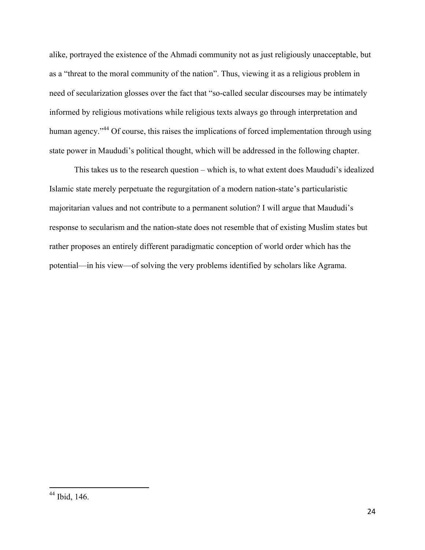alike, portrayed the existence of the Ahmadi community not as just religiously unacceptable, but as a "threat to the moral community of the nation". Thus, viewing it as a religious problem in need of secularization glosses over the fact that "so-called secular discourses may be intimately informed by religious motivations while religious texts always go through interpretation and human agency."<sup>44</sup> Of course, this raises the implications of forced implementation through using state power in Maududi's political thought, which will be addressed in the following chapter.

This takes us to the research question – which is, to what extent does Maududi's idealized Islamic state merely perpetuate the regurgitation of a modern nation-state's particularistic majoritarian values and not contribute to a permanent solution? I will argue that Maududi's response to secularism and the nation-state does not resemble that of existing Muslim states but rather proposes an entirely different paradigmatic conception of world order which has the potential—in his view—of solving the very problems identified by scholars like Agrama.

 <sup>44</sup> Ibid, 146.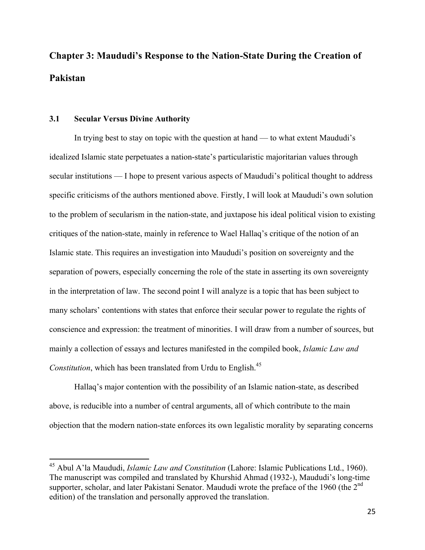# **Chapter 3: Maududi's Response to the Nation-State During the Creation of Pakistan**

#### **3.1 Secular Versus Divine Authority**

In trying best to stay on topic with the question at hand — to what extent Maududi's idealized Islamic state perpetuates a nation-state's particularistic majoritarian values through secular institutions — I hope to present various aspects of Maududi's political thought to address specific criticisms of the authors mentioned above. Firstly, I will look at Maududi's own solution to the problem of secularism in the nation-state, and juxtapose his ideal political vision to existing critiques of the nation-state, mainly in reference to Wael Hallaq's critique of the notion of an Islamic state. This requires an investigation into Maududi's position on sovereignty and the separation of powers, especially concerning the role of the state in asserting its own sovereignty in the interpretation of law. The second point I will analyze is a topic that has been subject to many scholars' contentions with states that enforce their secular power to regulate the rights of conscience and expression: the treatment of minorities. I will draw from a number of sources, but mainly a collection of essays and lectures manifested in the compiled book, *Islamic Law and Constitution*, which has been translated from Urdu to English.<sup>45</sup>

Hallaq's major contention with the possibility of an Islamic nation-state, as described above, is reducible into a number of central arguments, all of which contribute to the main objection that the modern nation-state enforces its own legalistic morality by separating concerns

 <sup>45</sup> Abul A'la Maududi, *Islamic Law and Constitution* (Lahore: Islamic Publications Ltd., 1960). The manuscript was compiled and translated by Khurshid Ahmad (1932-), Maududi's long-time supporter, scholar, and later Pakistani Senator. Maududi wrote the preface of the 1960 (the 2<sup>nd</sup> edition) of the translation and personally approved the translation.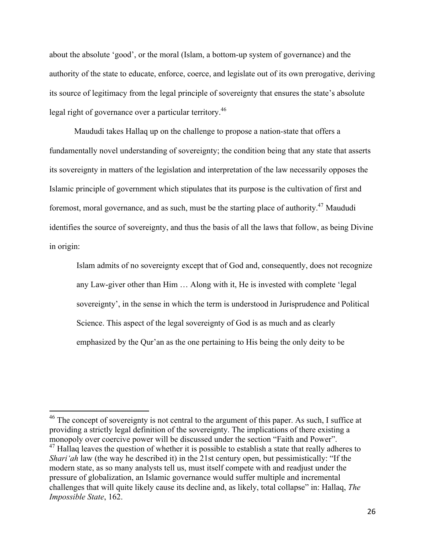about the absolute 'good', or the moral (Islam, a bottom-up system of governance) and the authority of the state to educate, enforce, coerce, and legislate out of its own prerogative, deriving its source of legitimacy from the legal principle of sovereignty that ensures the state's absolute legal right of governance over a particular territory.<sup>46</sup>

Maududi takes Hallaq up on the challenge to propose a nation-state that offers a fundamentally novel understanding of sovereignty; the condition being that any state that asserts its sovereignty in matters of the legislation and interpretation of the law necessarily opposes the Islamic principle of government which stipulates that its purpose is the cultivation of first and foremost, moral governance, and as such, must be the starting place of authority.<sup>47</sup> Maududi identifies the source of sovereignty, and thus the basis of all the laws that follow, as being Divine in origin:

Islam admits of no sovereignty except that of God and, consequently, does not recognize any Law-giver other than Him … Along with it, He is invested with complete 'legal sovereignty', in the sense in which the term is understood in Jurisprudence and Political Science. This aspect of the legal sovereignty of God is as much and as clearly emphasized by the Qur'an as the one pertaining to His being the only deity to be

<sup>&</sup>lt;sup>46</sup> The concept of sovereignty is not central to the argument of this paper. As such, I suffice at providing a strictly legal definition of the sovereignty. The implications of there existing a monopoly over coercive power will be discussed under the section "Faith and Power".  $^{47}$  Hallaq leaves the question of whether it is possible to establish a state that really adheres to *Shari'ah* law (the way he described it) in the 21st century open, but pessimistically: "If the modern state, as so many analysts tell us, must itself compete with and readjust under the pressure of globalization, an Islamic governance would suffer multiple and incremental challenges that will quite likely cause its decline and, as likely, total collapse" in: Hallaq, *The Impossible State*, 162.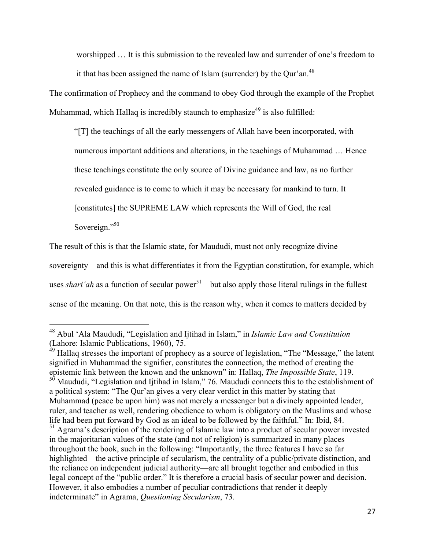worshipped … It is this submission to the revealed law and surrender of one's freedom to it that has been assigned the name of Islam (surrender) by the Qur'an.<sup>48</sup>

The confirmation of Prophecy and the command to obey God through the example of the Prophet Muhammad, which Hallaq is incredibly staunch to emphasize<sup>49</sup> is also fulfilled:

"[T] the teachings of all the early messengers of Allah have been incorporated, with numerous important additions and alterations, in the teachings of Muhammad … Hence these teachings constitute the only source of Divine guidance and law, as no further revealed guidance is to come to which it may be necessary for mankind to turn. It [constitutes] the SUPREME LAW which represents the Will of God, the real Sovereign."<sup>50</sup>

The result of this is that the Islamic state, for Maududi, must not only recognize divine sovereignty—and this is what differentiates it from the Egyptian constitution, for example, which uses *shari'ah* as a function of secular power<sup>51</sup>—but also apply those literal rulings in the fullest sense of the meaning. On that note, this is the reason why, when it comes to matters decided by

 <sup>48</sup> Abul 'Ala Maududi, "Legislation and Ijtihad in Islam," in *Islamic Law and Constitution* (Lahore: Islamic Publications, 1960), 75.

 $49$  Hallaq stresses the important of prophecy as a source of legislation, "The "Message," the latent signified in Muhammad the signifier, constitutes the connection, the method of creating the epistemic link between the known and the unknown" in: Hallaq, *The Impossible State*, 119. <sup>50</sup> Maududi, "Legislation and Ijtihad in Islam," 76. Maududi connects this to the establishment of a political system: "The Qur'an gives a very clear verdict in this matter by stating that Muhammad (peace be upon him) was not merely a messenger but a divinely appointed leader, ruler, and teacher as well, rendering obedience to whom is obligatory on the Muslims and whose life had been put forward by God as an ideal to be followed by the faithful." In: Ibid, 84. <sup>51</sup> Agrama's description of the rendering of Islamic law into a product of secular power invested in the majoritarian values of the state (and not of religion) is summarized in many places throughout the book, such in the following: "Importantly, the three features I have so far highlighted—the active principle of secularism, the centrality of a public/private distinction, and the reliance on independent judicial authority—are all brought together and embodied in this legal concept of the "public order." It is therefore a crucial basis of secular power and decision. However, it also embodies a number of peculiar contradictions that render it deeply indeterminate" in Agrama, *Questioning Secularism*, 73.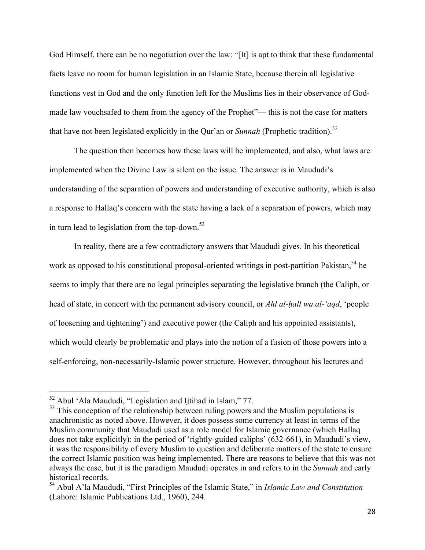God Himself, there can be no negotiation over the law: "[It] is apt to think that these fundamental facts leave no room for human legislation in an Islamic State, because therein all legislative functions vest in God and the only function left for the Muslims lies in their observance of Godmade law vouchsafed to them from the agency of the Prophet"— this is not the case for matters that have not been legislated explicitly in the Qur'an or *Sunnah* (Prophetic tradition).<sup>52</sup>

The question then becomes how these laws will be implemented, and also, what laws are implemented when the Divine Law is silent on the issue. The answer is in Maududi's understanding of the separation of powers and understanding of executive authority, which is also a response to Hallaq's concern with the state having a lack of a separation of powers, which may in turn lead to legislation from the top-down. $53$ 

In reality, there are a few contradictory answers that Maududi gives. In his theoretical work as opposed to his constitutional proposal-oriented writings in post-partition Pakistan,  $54$  he seems to imply that there are no legal principles separating the legislative branch (the Caliph, or head of state, in concert with the permanent advisory council, or *Ahl al-ḥall wa al-'aqd*, 'people of loosening and tightening') and executive power (the Caliph and his appointed assistants), which would clearly be problematic and plays into the notion of a fusion of those powers into a self-enforcing, non-necessarily-Islamic power structure. However, throughout his lectures and

 <sup>52</sup> Abul 'Ala Maududi, "Legislation and Ijtihad in Islam," 77.

<sup>&</sup>lt;sup>53</sup> This conception of the relationship between ruling powers and the Muslim populations is anachronistic as noted above. However, it does possess some currency at least in terms of the Muslim community that Maududi used as a role model for Islamic governance (which Hallaq does not take explicitly): in the period of 'rightly-guided caliphs' (632-661), in Maududi's view, it was the responsibility of every Muslim to question and deliberate matters of the state to ensure the correct Islamic position was being implemented. There are reasons to believe that this was not always the case, but it is the paradigm Maududi operates in and refers to in the *Sunnah* and early historical records.

<sup>54</sup> Abul A'la Maududi, "First Principles of the Islamic State," in *Islamic Law and Constitution* (Lahore: Islamic Publications Ltd., 1960), 244.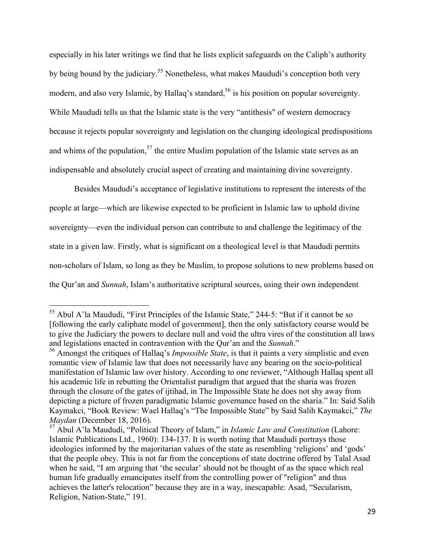especially in his later writings we find that he lists explicit safeguards on the Caliph's authority by being bound by the judiciary.<sup>55</sup> Nonetheless, what makes Maududi's conception both very modern, and also very Islamic, by Hallaq's standard,<sup>56</sup> is his position on popular sovereignty. While Maududi tells us that the Islamic state is the very "antithesis" of western democracy because it rejects popular sovereignty and legislation on the changing ideological predispositions and whims of the population,<sup>57</sup> the entire Muslim population of the Islamic state serves as an indispensable and absolutely crucial aspect of creating and maintaining divine sovereignty.

Besides Maududi's acceptance of legislative institutions to represent the interests of the people at large—which are likewise expected to be proficient in Islamic law to uphold divine sovereignty—even the individual person can contribute to and challenge the legitimacy of the state in a given law. Firstly, what is significant on a theological level is that Maududi permits non-scholars of Islam, so long as they be Muslim, to propose solutions to new problems based on the Qur'an and *Sunnah*, Islam's authoritative scriptural sources, using their own independent

<sup>&</sup>lt;sup>55</sup> Abul A'la Maududi, "First Principles of the Islamic State," 244-5: "But if it cannot be so [following the early caliphate model of government], then the only satisfactory course would be to give the Judiciary the powers to declare null and void the ultra vires of the constitution all laws and legislations enacted in contravention with the Qur'an and the *Sunnah*."

<sup>56</sup> Amongst the critiques of Hallaq's *Impossible State*, is that it paints a very simplistic and even romantic view of Islamic law that does not necessarily have any bearing on the socio-political manifestation of Islamic law over history. According to one reviewer, "Although Hallaq spent all his academic life in rebutting the Orientalist paradigm that argued that the sharia was frozen through the closure of the gates of ijtihad, in The Impossible State he does not shy away from depicting a picture of frozen paradigmatic Islamic governance based on the sharia." In: Said Salih Kaymakci, "Book Review: Wael Hallaq's "The Impossible State" by Said Salih Kaymakci," *The Maydan* (December 18, 2016). <sup>57</sup> Abul A'la Maududi, "Political Theory of Islam," in *Islamic Law and Constitution* (Lahore:

Islamic Publications Ltd., 1960): 134-137. It is worth noting that Maududi portrays those ideologies informed by the majoritarian values of the state as resembling 'religions' and 'gods' that the people obey. This is not far from the conceptions of state doctrine offered by Talal Asad when he said, "I am arguing that 'the secular' should not be thought of as the space which real human life gradually emancipates itself from the controlling power of "religion" and thus achieves the latter's relocation" because they are in a way, inescapable: Asad, "Secularism, Religion, Nation-State," 191.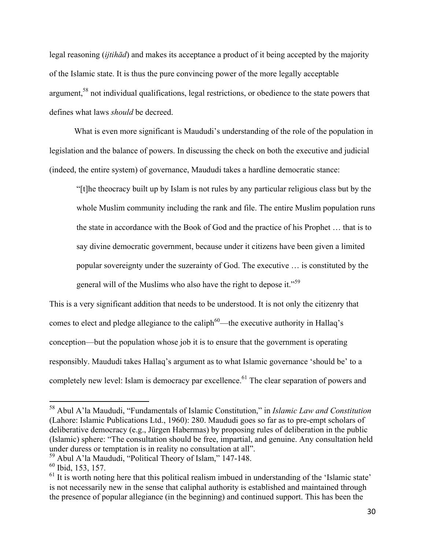legal reasoning (*ijtihād*) and makes its acceptance a product of it being accepted by the majority of the Islamic state. It is thus the pure convincing power of the more legally acceptable argument,<sup>58</sup> not individual qualifications, legal restrictions, or obedience to the state powers that defines what laws *should* be decreed.

What is even more significant is Maududi's understanding of the role of the population in legislation and the balance of powers. In discussing the check on both the executive and judicial (indeed, the entire system) of governance, Maududi takes a hardline democratic stance:

"[t]he theocracy built up by Islam is not rules by any particular religious class but by the whole Muslim community including the rank and file. The entire Muslim population runs the state in accordance with the Book of God and the practice of his Prophet … that is to say divine democratic government, because under it citizens have been given a limited popular sovereignty under the suzerainty of God. The executive … is constituted by the general will of the Muslims who also have the right to depose it."<sup>59</sup>

This is a very significant addition that needs to be understood. It is not only the citizenry that comes to elect and pledge allegiance to the caliph<sup>60</sup>—the executive authority in Hallaq's conception—but the population whose job it is to ensure that the government is operating responsibly. Maududi takes Hallaq's argument as to what Islamic governance 'should be' to a completely new level: Islam is democracy par excellence.<sup>61</sup> The clear separation of powers and

 <sup>58</sup> Abul A'la Maududi, "Fundamentals of Islamic Constitution," in *Islamic Law and Constitution* (Lahore: Islamic Publications Ltd., 1960): 280. Maududi goes so far as to pre-empt scholars of deliberative democracy (e.g., Jürgen Habermas) by proposing rules of deliberation in the public (Islamic) sphere: "The consultation should be free, impartial, and genuine. Any consultation held under duress or temptation is in reality no consultation at all".

<sup>59</sup> Abul A'la Maududi, "Political Theory of Islam," 147-148.

<sup>60</sup> Ibid, 153, 157.

 $<sup>61</sup>$  It is worth noting here that this political realism imbued in understanding of the 'Islamic state'</sup> is not necessarily new in the sense that caliphal authority is established and maintained through the presence of popular allegiance (in the beginning) and continued support. This has been the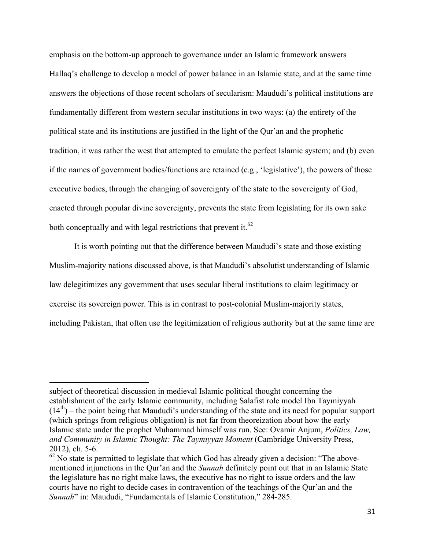emphasis on the bottom-up approach to governance under an Islamic framework answers Hallaq's challenge to develop a model of power balance in an Islamic state, and at the same time answers the objections of those recent scholars of secularism: Maududi's political institutions are fundamentally different from western secular institutions in two ways: (a) the entirety of the political state and its institutions are justified in the light of the Qur'an and the prophetic tradition, it was rather the west that attempted to emulate the perfect Islamic system; and (b) even if the names of government bodies/functions are retained (e.g., 'legislative'), the powers of those executive bodies, through the changing of sovereignty of the state to the sovereignty of God, enacted through popular divine sovereignty, prevents the state from legislating for its own sake both conceptually and with legal restrictions that prevent it.<sup>62</sup>

It is worth pointing out that the difference between Maududi's state and those existing Muslim-majority nations discussed above, is that Maududi's absolutist understanding of Islamic law delegitimizes any government that uses secular liberal institutions to claim legitimacy or exercise its sovereign power. This is in contrast to post-colonial Muslim-majority states, including Pakistan, that often use the legitimization of religious authority but at the same time are

subject of theoretical discussion in medieval Islamic political thought concerning the establishment of the early Islamic community, including Salafist role model Ibn Taymiyyah  $(14<sup>th</sup>)$  – the point being that Maududi's understanding of the state and its need for popular support (which springs from religious obligation) is not far from theoreization about how the early Islamic state under the prophet Muhammad himself was run. See: Ovamir Anjum, *Politics, Law, and Community in Islamic Thought: The Taymiyyan Moment* (Cambridge University Press, 2012), ch. 5-6.

 $62$  No state is permitted to legislate that which God has already given a decision: "The abovementioned injunctions in the Qur'an and the *Sunnah* definitely point out that in an Islamic State the legislature has no right make laws, the executive has no right to issue orders and the law courts have no right to decide cases in contravention of the teachings of the Qur'an and the *Sunnah*" in: Maududi, "Fundamentals of Islamic Constitution," 284-285.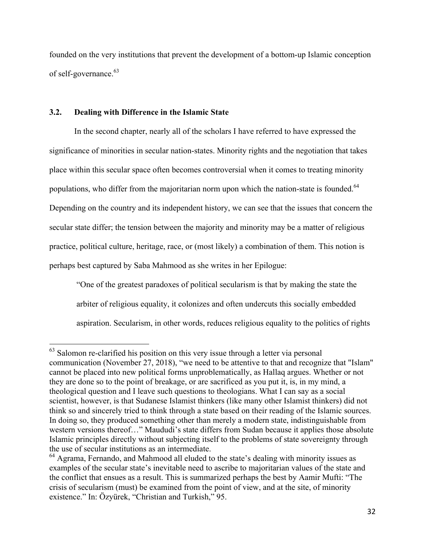founded on the very institutions that prevent the development of a bottom-up Islamic conception of self-governance. 63

#### **3.2. Dealing with Difference in the Islamic State**

In the second chapter, nearly all of the scholars I have referred to have expressed the significance of minorities in secular nation-states. Minority rights and the negotiation that takes place within this secular space often becomes controversial when it comes to treating minority populations, who differ from the majoritarian norm upon which the nation-state is founded.<sup>64</sup> Depending on the country and its independent history, we can see that the issues that concern the secular state differ; the tension between the majority and minority may be a matter of religious practice, political culture, heritage, race, or (most likely) a combination of them. This notion is perhaps best captured by Saba Mahmood as she writes in her Epilogue:

"One of the greatest paradoxes of political secularism is that by making the state the arbiter of religious equality, it colonizes and often undercuts this socially embedded aspiration. Secularism, in other words, reduces religious equality to the politics of rights

<sup>&</sup>lt;sup>63</sup> Salomon re-clarified his position on this very issue through a letter via personal communication (November 27, 2018), "we need to be attentive to that and recognize that "Islam" cannot be placed into new political forms unproblematically, as Hallaq argues. Whether or not they are done so to the point of breakage, or are sacrificed as you put it, is, in my mind, a theological question and I leave such questions to theologians. What I can say as a social scientist, however, is that Sudanese Islamist thinkers (like many other Islamist thinkers) did not think so and sincerely tried to think through a state based on their reading of the Islamic sources. In doing so, they produced something other than merely a modern state, indistinguishable from western versions thereof…" Maududi's state differs from Sudan because it applies those absolute Islamic principles directly without subjecting itself to the problems of state sovereignty through the use of secular institutions as an intermediate.

<sup>&</sup>lt;sup>64</sup> Agrama, Fernando, and Mahmood all eluded to the state's dealing with minority issues as examples of the secular state's inevitable need to ascribe to majoritarian values of the state and the conflict that ensues as a result. This is summarized perhaps the best by Aamir Mufti: "The crisis of secularism (must) be examined from the point of view, and at the site, of minority existence." In: Özyürek, "Christian and Turkish," 95.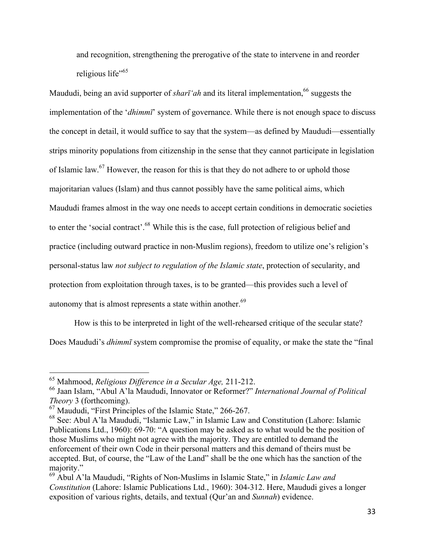and recognition, strengthening the prerogative of the state to intervene in and reorder religious life"<sup>65</sup>

Maududi, being an avid supporter of *sharī* '*ah* and its literal implementation, <sup>66</sup> suggests the implementation of the '*dhimmī*' system of governance. While there is not enough space to discuss the concept in detail, it would suffice to say that the system—as defined by Maududi—essentially strips minority populations from citizenship in the sense that they cannot participate in legislation of Islamic law.<sup>67</sup> However, the reason for this is that they do not adhere to or uphold those majoritarian values (Islam) and thus cannot possibly have the same political aims, which Maududi frames almost in the way one needs to accept certain conditions in democratic societies to enter the 'social contract'.<sup>68</sup> While this is the case, full protection of religious belief and practice (including outward practice in non-Muslim regions), freedom to utilize one's religion's personal-status law *not subject to regulation of the Islamic state*, protection of secularity, and protection from exploitation through taxes, is to be granted—this provides such a level of autonomy that is almost represents a state within another.<sup>69</sup>

How is this to be interpreted in light of the well-rehearsed critique of the secular state? Does Maududi's *dhimmī* system compromise the promise of equality, or make the state the "final

 <sup>65</sup> Mahmood, *Religious Difference in <sup>a</sup> Secular Age,* 211-212.

<sup>66</sup> Jaan Islam, "Abul A'la Maududi, Innovator or Reformer?" *International Journal of Political Theory* 3 (forthcoming).

<sup>67</sup> Maududi, "First Principles of the Islamic State," 266-267.

<sup>68</sup> See: Abul A'la Maududi, "Islamic Law," in Islamic Law and Constitution (Lahore: Islamic Publications Ltd., 1960): 69-70: "A question may be asked as to what would be the position of those Muslims who might not agree with the majority. They are entitled to demand the enforcement of their own Code in their personal matters and this demand of theirs must be accepted. But, of course, the "Law of the Land" shall be the one which has the sanction of the majority."

<sup>69</sup> Abul A'la Maududi, "Rights of Non-Muslims in Islamic State," in *Islamic Law and Constitution* (Lahore: Islamic Publications Ltd., 1960): 304-312. Here, Maududi gives a longer exposition of various rights, details, and textual (Qur'an and *Sunnah*) evidence.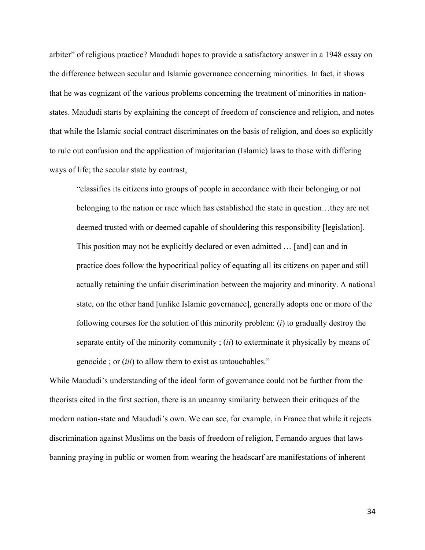arbiter" of religious practice? Maududi hopes to provide a satisfactory answer in a 1948 essay on the difference between secular and Islamic governance concerning minorities. In fact, it shows that he was cognizant of the various problems concerning the treatment of minorities in nationstates. Maududi starts by explaining the concept of freedom of conscience and religion, and notes that while the Islamic social contract discriminates on the basis of religion, and does so explicitly to rule out confusion and the application of majoritarian (Islamic) laws to those with differing ways of life; the secular state by contrast,

"classifies its citizens into groups of people in accordance with their belonging or not belonging to the nation or race which has established the state in question…they are not deemed trusted with or deemed capable of shouldering this responsibility [legislation]. This position may not be explicitly declared or even admitted … [and] can and in practice does follow the hypocritical policy of equating all its citizens on paper and still actually retaining the unfair discrimination between the majority and minority. A national state, on the other hand [unlike Islamic governance], generally adopts one or more of the following courses for the solution of this minority problem: (*i*) to gradually destroy the separate entity of the minority community ; (*ii*) to exterminate it physically by means of genocide ; or (*iii*) to allow them to exist as untouchables."

While Maududi's understanding of the ideal form of governance could not be further from the theorists cited in the first section, there is an uncanny similarity between their critiques of the modern nation-state and Maududi's own. We can see, for example, in France that while it rejects discrimination against Muslims on the basis of freedom of religion, Fernando argues that laws banning praying in public or women from wearing the headscarf are manifestations of inherent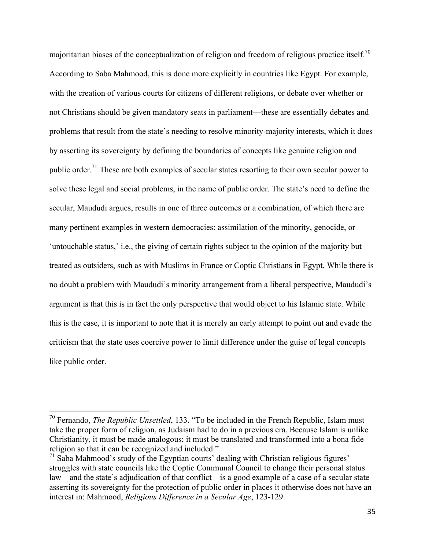majoritarian biases of the conceptualization of religion and freedom of religious practice itself.<sup>70</sup> According to Saba Mahmood, this is done more explicitly in countries like Egypt. For example, with the creation of various courts for citizens of different religions, or debate over whether or not Christians should be given mandatory seats in parliament—these are essentially debates and problems that result from the state's needing to resolve minority-majority interests, which it does by asserting its sovereignty by defining the boundaries of concepts like genuine religion and public order.<sup>71</sup> These are both examples of secular states resorting to their own secular power to solve these legal and social problems, in the name of public order. The state's need to define the secular, Maududi argues, results in one of three outcomes or a combination, of which there are many pertinent examples in western democracies: assimilation of the minority, genocide, or 'untouchable status,' i.e., the giving of certain rights subject to the opinion of the majority but treated as outsiders, such as with Muslims in France or Coptic Christians in Egypt. While there is no doubt a problem with Maududi's minority arrangement from a liberal perspective, Maududi's argument is that this is in fact the only perspective that would object to his Islamic state. While this is the case, it is important to note that it is merely an early attempt to point out and evade the criticism that the state uses coercive power to limit difference under the guise of legal concepts like public order.

 <sup>70</sup> Fernando, *The Republic Unsettled*, 133. "To be included in the French Republic, Islam must take the proper form of religion, as Judaism had to do in a previous era. Because Islam is unlike Christianity, it must be made analogous; it must be translated and transformed into a bona fide religion so that it can be recognized and included."

 $71$  Saba Mahmood's study of the Egyptian courts' dealing with Christian religious figures' struggles with state councils like the Coptic Communal Council to change their personal status law—and the state's adjudication of that conflict—is a good example of a case of a secular state asserting its sovereignty for the protection of public order in places it otherwise does not have an interest in: Mahmood, *Religious Difference in a Secular Age*, 123-129.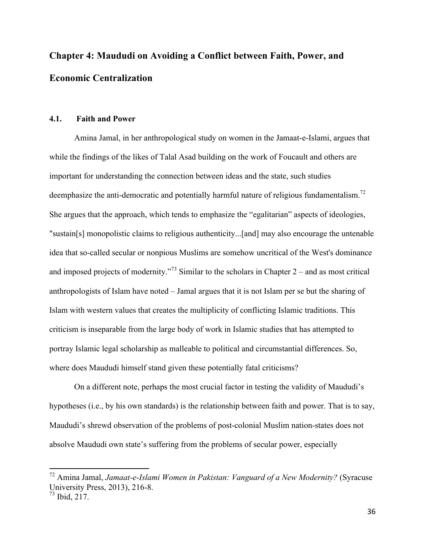# **Chapter 4: Maududi on Avoiding a Conflict between Faith, Power, and Economic Centralization**

#### **4.1. Faith and Power**

Amina Jamal, in her anthropological study on women in the Jamaat-e-Islami, argues that while the findings of the likes of Talal Asad building on the work of Foucault and others are important for understanding the connection between ideas and the state, such studies deemphasize the anti-democratic and potentially harmful nature of religious fundamentalism.<sup>72</sup> She argues that the approach, which tends to emphasize the "egalitarian" aspects of ideologies, "sustain[s] monopolistic claims to religious authenticity...[and] may also encourage the untenable idea that so-called secular or nonpious Muslims are somehow uncritical of the West's dominance and imposed projects of modernity.<sup>73</sup> Similar to the scholars in Chapter 2 – and as most critical anthropologists of Islam have noted – Jamal argues that it is not Islam per se but the sharing of Islam with western values that creates the multiplicity of conflicting Islamic traditions. This criticism is inseparable from the large body of work in Islamic studies that has attempted to portray Islamic legal scholarship as malleable to political and circumstantial differences. So, where does Maududi himself stand given these potentially fatal criticisms?

On a different note, perhaps the most crucial factor in testing the validity of Maududi's hypotheses (i.e., by his own standards) is the relationship between faith and power. That is to say, Maududi's shrewd observation of the problems of post-colonial Muslim nation-states does not absolve Maududi own state's suffering from the problems of secular power, especially

 <sup>72</sup> Amina Jamal, *Jamaat-e-Islami Women in Pakistan: Vanguard of a New Modernity?* (Syracuse University Press, 2013), 216-8.

<sup>73</sup> Ibid, 217.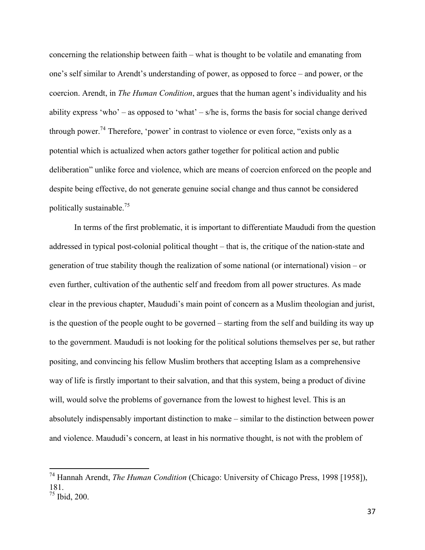concerning the relationship between faith – what is thought to be volatile and emanating from one's self similar to Arendt's understanding of power, as opposed to force – and power, or the coercion. Arendt, in *The Human Condition*, argues that the human agent's individuality and his ability express 'who' – as opposed to 'what' – s/he is, forms the basis for social change derived through power.<sup>74</sup> Therefore, 'power' in contrast to violence or even force, "exists only as a potential which is actualized when actors gather together for political action and public deliberation" unlike force and violence, which are means of coercion enforced on the people and despite being effective, do not generate genuine social change and thus cannot be considered politically sustainable.<sup>75</sup>

In terms of the first problematic, it is important to differentiate Maududi from the question addressed in typical post-colonial political thought – that is, the critique of the nation-state and generation of true stability though the realization of some national (or international) vision – or even further, cultivation of the authentic self and freedom from all power structures. As made clear in the previous chapter, Maududi's main point of concern as a Muslim theologian and jurist, is the question of the people ought to be governed – starting from the self and building its way up to the government. Maududi is not looking for the political solutions themselves per se, but rather positing, and convincing his fellow Muslim brothers that accepting Islam as a comprehensive way of life is firstly important to their salvation, and that this system, being a product of divine will, would solve the problems of governance from the lowest to highest level. This is an absolutely indispensably important distinction to make – similar to the distinction between power and violence. Maududi's concern, at least in his normative thought, is not with the problem of

 <sup>74</sup> Hannah Arendt, *The Human Condition* (Chicago: University of Chicago Press, 1998 [1958]), 181.  $75$  Ibid, 200.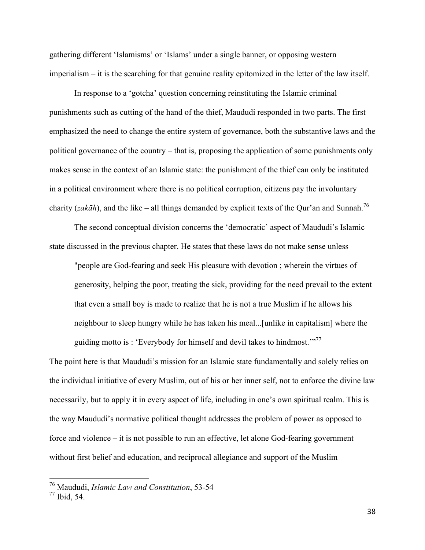gathering different 'Islamisms' or 'Islams' under a single banner, or opposing western imperialism – it is the searching for that genuine reality epitomized in the letter of the law itself.

In response to a 'gotcha' question concerning reinstituting the Islamic criminal punishments such as cutting of the hand of the thief, Maududi responded in two parts. The first emphasized the need to change the entire system of governance, both the substantive laws and the political governance of the country – that is, proposing the application of some punishments only makes sense in the context of an Islamic state: the punishment of the thief can only be instituted in a political environment where there is no political corruption, citizens pay the involuntary charity (*zakāh*), and the like – all things demanded by explicit texts of the Qur'an and Sunnah.<sup>76</sup>

The second conceptual division concerns the 'democratic' aspect of Maududi's Islamic state discussed in the previous chapter. He states that these laws do not make sense unless

"people are God-fearing and seek His pleasure with devotion ; wherein the virtues of generosity, helping the poor, treating the sick, providing for the need prevail to the extent that even a small boy is made to realize that he is not a true Muslim if he allows his neighbour to sleep hungry while he has taken his meal...[unlike in capitalism] where the guiding motto is : 'Everybody for himself and devil takes to hindmost.'"<sup>77</sup>

The point here is that Maududi's mission for an Islamic state fundamentally and solely relies on the individual initiative of every Muslim, out of his or her inner self, not to enforce the divine law necessarily, but to apply it in every aspect of life, including in one's own spiritual realm. This is the way Maududi's normative political thought addresses the problem of power as opposed to force and violence – it is not possible to run an effective, let alone God-fearing government without first belief and education, and reciprocal allegiance and support of the Muslim

 <sup>76</sup> Maududi, *Islamic Law and Constitution*, 53-54

<sup>77</sup> Ibid, 54.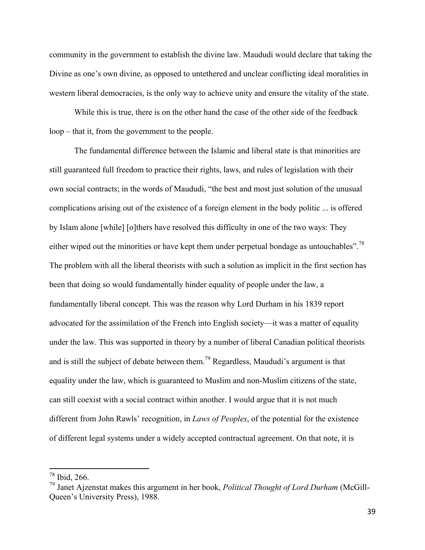community in the government to establish the divine law. Maududi would declare that taking the Divine as one's own divine, as opposed to untethered and unclear conflicting ideal moralities in western liberal democracies, is the only way to achieve unity and ensure the vitality of the state.

While this is true, there is on the other hand the case of the other side of the feedback loop – that it, from the government to the people.

The fundamental difference between the Islamic and liberal state is that minorities are still guaranteed full freedom to practice their rights, laws, and rules of legislation with their own social contracts; in the words of Maududi, "the best and most just solution of the unusual complications arising out of the existence of a foreign element in the body politic ... is offered by Islam alone [while] [o]thers have resolved this difficulty in one of the two ways: They either wiped out the minorities or have kept them under perpetual bondage as untouchables".<sup>78</sup> The problem with all the liberal theorists with such a solution as implicit in the first section has been that doing so would fundamentally hinder equality of people under the law, a fundamentally liberal concept. This was the reason why Lord Durham in his 1839 report advocated for the assimilation of the French into English society—it was a matter of equality under the law. This was supported in theory by a number of liberal Canadian political theorists and is still the subject of debate between them.<sup>79</sup> Regardless, Maududi's argument is that equality under the law, which is guaranteed to Muslim and non-Muslim citizens of the state, can still coexist with a social contract within another. I would argue that it is not much different from John Rawls' recognition, in *Laws of Peoples*, of the potential for the existence of different legal systems under a widely accepted contractual agreement. On that note, it is

 $78$  Ibid, 266.

<sup>79</sup> Janet Ajzenstat makes this argument in her book, *Political Thought of Lord Durham* (McGill-Queen's University Press), 1988.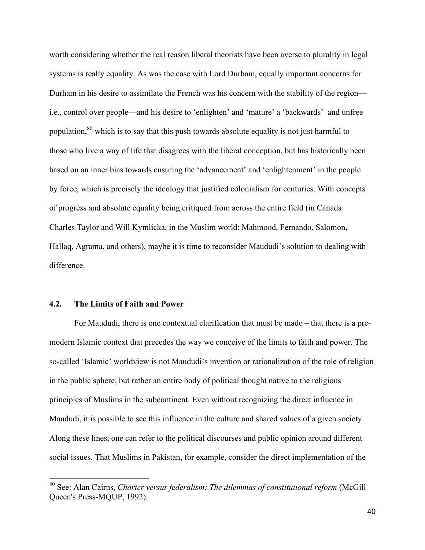worth considering whether the real reason liberal theorists have been averse to plurality in legal systems is really equality. As was the case with Lord Durham, equally important concerns for Durham in his desire to assimilate the French was his concern with the stability of the region i.e., control over people—and his desire to 'enlighten' and 'mature' a 'backwards' and unfree population,<sup>80</sup> which is to say that this push towards absolute equality is not just harmful to those who live a way of life that disagrees with the liberal conception, but has historically been based on an inner bias towards ensuring the 'advancement' and 'enlightenment' in the people by force, which is precisely the ideology that justified colonialism for centuries. With concepts of progress and absolute equality being critiqued from across the entire field (in Canada: Charles Taylor and Will Kymlicka, in the Muslim world: Mahmood, Fernando, Salomon, Hallaq, Agrama, and others), maybe it is time to reconsider Maududi's solution to dealing with difference.

#### **4.2. The Limits of Faith and Power**

For Maududi, there is one contextual clarification that must be made – that there is a premodern Islamic context that precedes the way we conceive of the limits to faith and power. The so-called 'Islamic' worldview is not Maududi's invention or rationalization of the role of religion in the public sphere, but rather an entire body of political thought native to the religious principles of Muslims in the subcontinent. Even without recognizing the direct influence in Maududi, it is possible to see this influence in the culture and shared values of a given society. Along these lines, one can refer to the political discourses and public opinion around different social issues. That Muslims in Pakistan, for example, consider the direct implementation of the

 <sup>80</sup> See: Alan Cairns, *Charter versus federalism: The dilemmas of constitutional reform* (McGill Queen's Press-MQUP, 1992).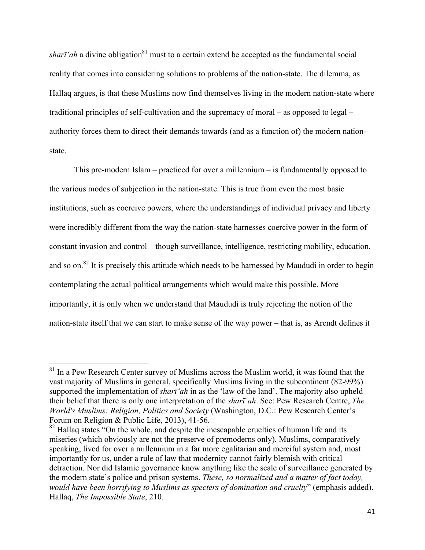*sharī'ah* a divine obligation<sup>81</sup> must to a certain extend be accepted as the fundamental social reality that comes into considering solutions to problems of the nation-state. The dilemma, as Hallaq argues, is that these Muslims now find themselves living in the modern nation-state where traditional principles of self-cultivation and the supremacy of moral – as opposed to legal – authority forces them to direct their demands towards (and as a function of) the modern nationstate.

This pre-modern Islam – practiced for over a millennium – is fundamentally opposed to the various modes of subjection in the nation-state. This is true from even the most basic institutions, such as coercive powers, where the understandings of individual privacy and liberty were incredibly different from the way the nation-state harnesses coercive power in the form of constant invasion and control – though surveillance, intelligence, restricting mobility, education, and so on.<sup>82</sup> It is precisely this attitude which needs to be harnessed by Maududi in order to begin contemplating the actual political arrangements which would make this possible. More importantly, it is only when we understand that Maududi is truly rejecting the notion of the nation-state itself that we can start to make sense of the way power – that is, as Arendt defines it

<sup>&</sup>lt;sup>81</sup> In a Pew Research Center survey of Muslims across the Muslim world, it was found that the vast majority of Muslims in general, specifically Muslims living in the subcontinent (82-99%) supported the implementation of *sharī'ah* in as the 'law of the land'. The majority also upheld their belief that there is only one interpretation of the *sharī'ah*. See: Pew Research Centre, *The World's Muslims: Religion, Politics and Society* (Washington, D.C.: Pew Research Center's Forum on Religion & Public Life, 2013), 41-56.

 $82$  Hallaq states "On the whole, and despite the inescapable cruelties of human life and its miseries (which obviously are not the preserve of premoderns only), Muslims, comparatively speaking, lived for over a millennium in a far more egalitarian and merciful system and, most importantly for us, under a rule of law that modernity cannot fairly blemish with critical detraction. Nor did Islamic governance know anything like the scale of surveillance generated by the modern state's police and prison systems. *These, so normalized and a matter of fact today, would have been horrifying to Muslims as specters of domination and cruelty*" (emphasis added). Hallaq, *The Impossible State*, 210.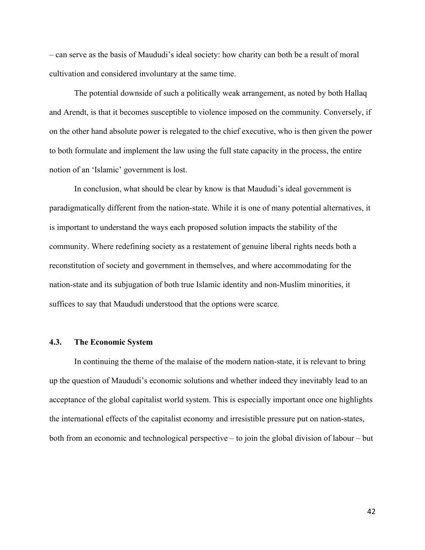– can serve as the basis of Maududi's ideal society: how charity can both be a result of moral cultivation and considered involuntary at the same time.

The potential downside of such a politically weak arrangement, as noted by both Hallaq and Arendt, is that it becomes susceptible to violence imposed on the community. Conversely, if on the other hand absolute power is relegated to the chief executive, who is then given the power to both formulate and implement the law using the full state capacity in the process, the entire notion of an 'Islamic' government is lost.

In conclusion, what should be clear by know is that Maududi's ideal government is paradigmatically different from the nation-state. While it is one of many potential alternatives, it is important to understand the ways each proposed solution impacts the stability of the community. Where redefining society as a restatement of genuine liberal rights needs both a reconstitution of society and government in themselves, and where accommodating for the nation-state and its subjugation of both true Islamic identity and non-Muslim minorities, it suffices to say that Maududi understood that the options were scarce.

#### **4.3. The Economic System**

In continuing the theme of the malaise of the modern nation-state, it is relevant to bring up the question of Maududi's economic solutions and whether indeed they inevitably lead to an acceptance of the global capitalist world system. This is especially important once one highlights the international effects of the capitalist economy and irresistible pressure put on nation-states, both from an economic and technological perspective – to join the global division of labour – but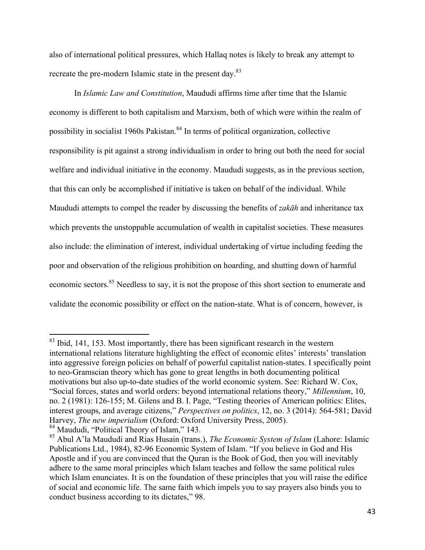also of international political pressures, which Hallaq notes is likely to break any attempt to recreate the pre-modern Islamic state in the present day.<sup>83</sup>

In *Islamic Law and Constitution*, Maududi affirms time after time that the Islamic economy is different to both capitalism and Marxism, both of which were within the realm of possibility in socialist 1960s Pakistan.<sup>84</sup> In terms of political organization, collective responsibility is pit against a strong individualism in order to bring out both the need for social welfare and individual initiative in the economy. Maududi suggests, as in the previous section, that this can only be accomplished if initiative is taken on behalf of the individual. While Maududi attempts to compel the reader by discussing the benefits of *zakāh* and inheritance tax which prevents the unstoppable accumulation of wealth in capitalist societies. These measures also include: the elimination of interest, individual undertaking of virtue including feeding the poor and observation of the religious prohibition on hoarding, and shutting down of harmful economic sectors.<sup>85</sup> Needless to say, it is not the propose of this short section to enumerate and validate the economic possibility or effect on the nation-state. What is of concern, however, is

<sup>&</sup>lt;sup>83</sup> Ibid, 141, 153. Most importantly, there has been significant research in the western international relations literature highlighting the effect of economic elites' interests' translation into aggressive foreign policies on behalf of powerful capitalist nation-states. I specifically point to neo-Gramscian theory which has gone to great lengths in both documenting political motivations but also up-to-date studies of the world economic system. See: Richard W. Cox, "Social forces, states and world orders: beyond international relations theory," *Millennium*, 10, no. 2 (1981): 126-155; M. Gilens and B. I. Page, "Testing theories of American politics: Elites, interest groups, and average citizens," *Perspectives on politics*, 12, no. 3 (2014): 564-581; David Harvey, *The new imperialism* (Oxford: Oxford University Press, 2005). <sup>84</sup> Maududi, "Political Theory of Islam," 143.

<sup>85</sup> Abul A'la Maududi and Rias Husain (trans.), *The Economic System of Islam* (Lahore: Islamic Publications Ltd., 1984), 82-96 Economic System of Islam. "If you believe in God and His Apostle and if you are convinced that the Quran is the Book of God, then you will inevitably adhere to the same moral principles which Islam teaches and follow the same political rules which Islam enunciates. It is on the foundation of these principles that you will raise the edifice of social and economic life. The same faith which impels you to say prayers also binds you to conduct business according to its dictates," 98.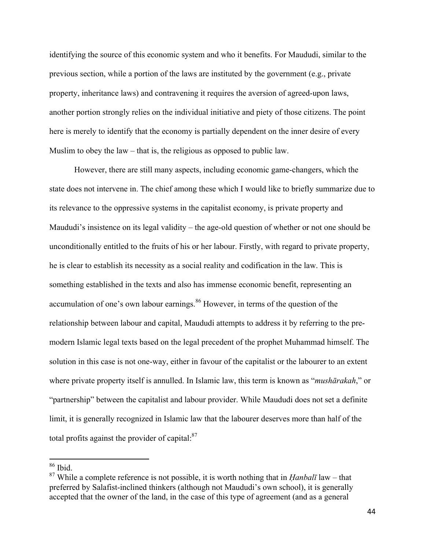identifying the source of this economic system and who it benefits. For Maududi, similar to the previous section, while a portion of the laws are instituted by the government (e.g., private property, inheritance laws) and contravening it requires the aversion of agreed-upon laws, another portion strongly relies on the individual initiative and piety of those citizens. The point here is merely to identify that the economy is partially dependent on the inner desire of every Muslim to obey the law – that is, the religious as opposed to public law.

However, there are still many aspects, including economic game-changers, which the state does not intervene in. The chief among these which I would like to briefly summarize due to its relevance to the oppressive systems in the capitalist economy, is private property and Maududi's insistence on its legal validity – the age-old question of whether or not one should be unconditionally entitled to the fruits of his or her labour. Firstly, with regard to private property, he is clear to establish its necessity as a social reality and codification in the law. This is something established in the texts and also has immense economic benefit, representing an accumulation of one's own labour earnings.<sup>86</sup> However, in terms of the question of the relationship between labour and capital, Maududi attempts to address it by referring to the premodern Islamic legal texts based on the legal precedent of the prophet Muhammad himself. The solution in this case is not one-way, either in favour of the capitalist or the labourer to an extent where private property itself is annulled. In Islamic law, this term is known as "*mushārakah*," or "partnership" between the capitalist and labour provider. While Maududi does not set a definite limit, it is generally recognized in Islamic law that the labourer deserves more than half of the total profits against the provider of capital: $87$ 

 <sup>86</sup> Ibid.

<sup>87</sup> While a complete reference is not possible, it is worth nothing that in *Ḥanbalī* law – that preferred by Salafist-inclined thinkers (although not Maududi's own school), it is generally accepted that the owner of the land, in the case of this type of agreement (and as a general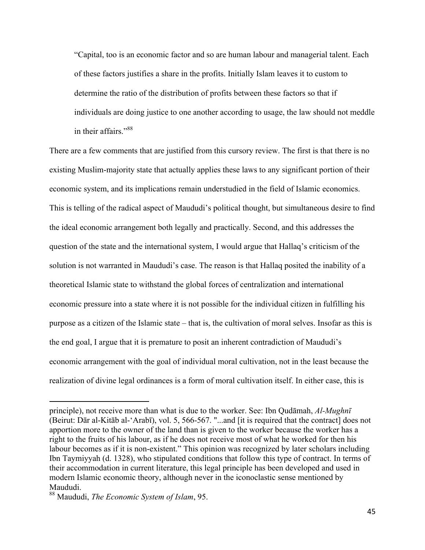"Capital, too is an economic factor and so are human labour and managerial talent. Each of these factors justifies a share in the profits. Initially Islam leaves it to custom to determine the ratio of the distribution of profits between these factors so that if individuals are doing justice to one another according to usage, the law should not meddle in their affairs."<sup>88</sup>

There are a few comments that are justified from this cursory review. The first is that there is no existing Muslim-majority state that actually applies these laws to any significant portion of their economic system, and its implications remain understudied in the field of Islamic economics. This is telling of the radical aspect of Maududi's political thought, but simultaneous desire to find the ideal economic arrangement both legally and practically. Second, and this addresses the question of the state and the international system, I would argue that Hallaq's criticism of the solution is not warranted in Maududi's case. The reason is that Hallaq posited the inability of a theoretical Islamic state to withstand the global forces of centralization and international economic pressure into a state where it is not possible for the individual citizen in fulfilling his purpose as a citizen of the Islamic state – that is, the cultivation of moral selves. Insofar as this is the end goal, I argue that it is premature to posit an inherent contradiction of Maududi's economic arrangement with the goal of individual moral cultivation, not in the least because the realization of divine legal ordinances is a form of moral cultivation itself. In either case, this is

principle), not receive more than what is due to the worker. See: Ibn Qudāmah, *Al-Mughnī* (Beirut: Dār al-Kitāb al-'Arabī), vol. 5, 566-567. "...and [it is required that the contract] does not apportion more to the owner of the land than is given to the worker because the worker has a right to the fruits of his labour, as if he does not receive most of what he worked for then his labour becomes as if it is non-existent." This opinion was recognized by later scholars including Ibn Taymiyyah (d. 1328), who stipulated conditions that follow this type of contract. In terms of their accommodation in current literature, this legal principle has been developed and used in modern Islamic economic theory, although never in the iconoclastic sense mentioned by Maududi.

<sup>88</sup> Maududi, *The Economic System of Islam*, 95.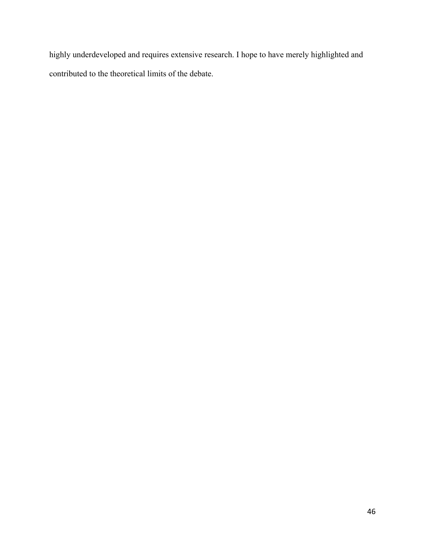highly underdeveloped and requires extensive research. I hope to have merely highlighted and contributed to the theoretical limits of the debate.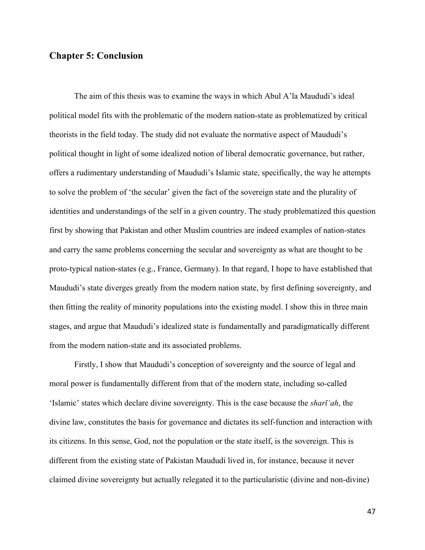#### **Chapter 5: Conclusion**

The aim of this thesis was to examine the ways in which Abul A'la Maududi's ideal political model fits with the problematic of the modern nation-state as problematized by critical theorists in the field today. The study did not evaluate the normative aspect of Maududi's political thought in light of some idealized notion of liberal democratic governance, but rather, offers a rudimentary understanding of Maududi's Islamic state, specifically, the way he attempts to solve the problem of 'the secular' given the fact of the sovereign state and the plurality of identities and understandings of the self in a given country. The study problematized this question first by showing that Pakistan and other Muslim countries are indeed examples of nation-states and carry the same problems concerning the secular and sovereignty as what are thought to be proto-typical nation-states (e.g., France, Germany). In that regard, I hope to have established that Maududi's state diverges greatly from the modern nation state, by first defining sovereignty, and then fitting the reality of minority populations into the existing model. I show this in three main stages, and argue that Maududi's idealized state is fundamentally and paradigmatically different from the modern nation-state and its associated problems.

Firstly, I show that Maududi's conception of sovereignty and the source of legal and moral power is fundamentally different from that of the modern state, including so-called 'Islamic' states which declare divine sovereignty. This is the case because the *sharī'ah*, the divine law, constitutes the basis for governance and dictates its self-function and interaction with its citizens. In this sense, God, not the population or the state itself, is the sovereign. This is different from the existing state of Pakistan Maududi lived in, for instance, because it never claimed divine sovereignty but actually relegated it to the particularistic (divine and non-divine)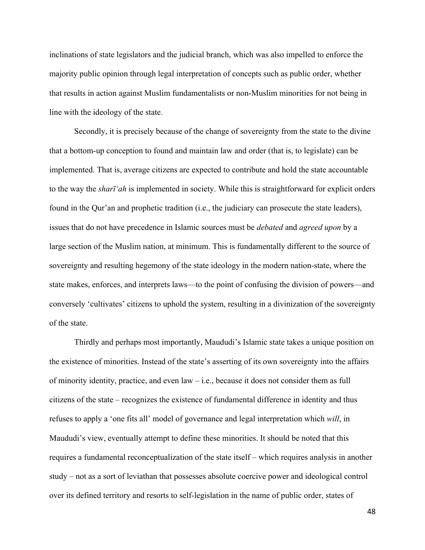inclinations of state legislators and the judicial branch, which was also impelled to enforce the majority public opinion through legal interpretation of concepts such as public order, whether that results in action against Muslim fundamentalists or non-Muslim minorities for not being in line with the ideology of the state.

Secondly, it is precisely because of the change of sovereignty from the state to the divine that a bottom-up conception to found and maintain law and order (that is, to legislate) can be implemented. That is, average citizens are expected to contribute and hold the state accountable to the way the *sharī'ah* is implemented in society. While this is straightforward for explicit orders found in the Qur'an and prophetic tradition (i.e., the judiciary can prosecute the state leaders), issues that do not have precedence in Islamic sources must be *debated* and *agreed upon* by a large section of the Muslim nation, at minimum. This is fundamentally different to the source of sovereignty and resulting hegemony of the state ideology in the modern nation-state, where the state makes, enforces, and interprets laws—to the point of confusing the division of powers—and conversely 'cultivates' citizens to uphold the system, resulting in a divinization of the sovereignty of the state.

Thirdly and perhaps most importantly, Maududi's Islamic state takes a unique position on the existence of minorities. Instead of the state's asserting of its own sovereignty into the affairs of minority identity, practice, and even law – i.e., because it does not consider them as full citizens of the state – recognizes the existence of fundamental difference in identity and thus refuses to apply a 'one fits all' model of governance and legal interpretation which *will*, in Maududi's view, eventually attempt to define these minorities. It should be noted that this requires a fundamental reconceptualization of the state itself – which requires analysis in another study – not as a sort of leviathan that possesses absolute coercive power and ideological control over its defined territory and resorts to self-legislation in the name of public order, states of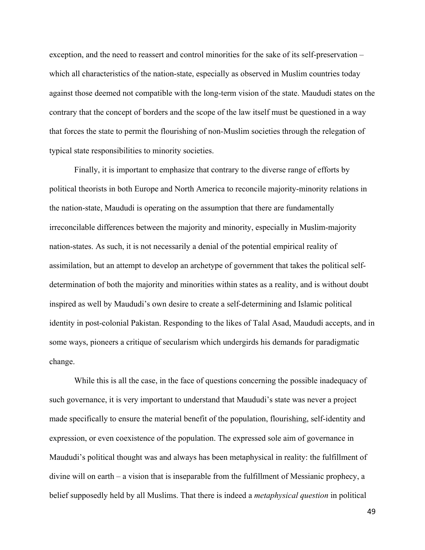exception, and the need to reassert and control minorities for the sake of its self-preservation – which all characteristics of the nation-state, especially as observed in Muslim countries today against those deemed not compatible with the long-term vision of the state. Maududi states on the contrary that the concept of borders and the scope of the law itself must be questioned in a way that forces the state to permit the flourishing of non-Muslim societies through the relegation of typical state responsibilities to minority societies.

Finally, it is important to emphasize that contrary to the diverse range of efforts by political theorists in both Europe and North America to reconcile majority-minority relations in the nation-state, Maududi is operating on the assumption that there are fundamentally irreconcilable differences between the majority and minority, especially in Muslim-majority nation-states. As such, it is not necessarily a denial of the potential empirical reality of assimilation, but an attempt to develop an archetype of government that takes the political selfdetermination of both the majority and minorities within states as a reality, and is without doubt inspired as well by Maududi's own desire to create a self-determining and Islamic political identity in post-colonial Pakistan. Responding to the likes of Talal Asad, Maududi accepts, and in some ways, pioneers a critique of secularism which undergirds his demands for paradigmatic change.

While this is all the case, in the face of questions concerning the possible inadequacy of such governance, it is very important to understand that Maududi's state was never a project made specifically to ensure the material benefit of the population, flourishing, self-identity and expression, or even coexistence of the population. The expressed sole aim of governance in Maududi's political thought was and always has been metaphysical in reality: the fulfillment of divine will on earth – a vision that is inseparable from the fulfillment of Messianic prophecy, a belief supposedly held by all Muslims. That there is indeed a *metaphysical question* in political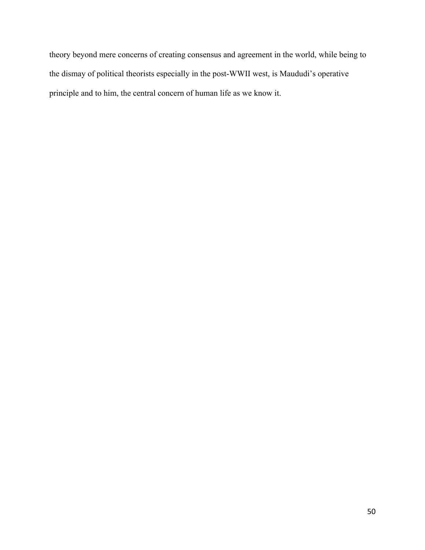theory beyond mere concerns of creating consensus and agreement in the world, while being to the dismay of political theorists especially in the post-WWII west, is Maududi's operative principle and to him, the central concern of human life as we know it.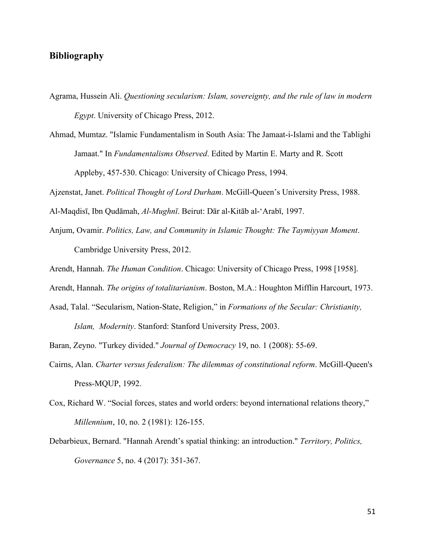#### **Bibliography**

- Agrama, Hussein Ali. *Questioning secularism: Islam, sovereignty, and the rule of law in modern Egypt*. University of Chicago Press, 2012.
- Ahmad, Mumtaz. "Islamic Fundamentalism in South Asia: The Jamaat-i-Islami and the Tablighi Jamaat." In *Fundamentalisms Observed*. Edited by Martin E. Marty and R. Scott Appleby, 457-530. Chicago: University of Chicago Press, 1994.

Ajzenstat, Janet. *Political Thought of Lord Durham*. McGill-Queen's University Press, 1988.

- Al-Maqdisī, Ibn Qudāmah, *Al-Mughnī*. Beirut: Dār al-Kitāb al-'Arabī, 1997.
- Anjum, Ovamir. *Politics, Law, and Community in Islamic Thought: The Taymiyyan Moment*. Cambridge University Press, 2012.
- Arendt, Hannah. *The Human Condition*. Chicago: University of Chicago Press, 1998 [1958].
- Arendt, Hannah. *The origins of totalitarianism*. Boston, M.A.: Houghton Mifflin Harcourt, 1973.
- Asad, Talal. "Secularism, Nation-State, Religion," in *Formations of the Secular: Christianity, Islam, Modernity*. Stanford: Stanford University Press, 2003.
- Baran, Zeyno. "Turkey divided." *Journal of Democracy* 19, no. 1 (2008): 55-69.
- Cairns, Alan. *Charter versus federalism: The dilemmas of constitutional reform*. McGill-Queen's Press-MQUP, 1992.
- Cox, Richard W. "Social forces, states and world orders: beyond international relations theory," *Millennium*, 10, no. 2 (1981): 126-155.
- Debarbieux, Bernard. "Hannah Arendt's spatial thinking: an introduction." *Territory, Politics, Governance* 5, no. 4 (2017): 351-367.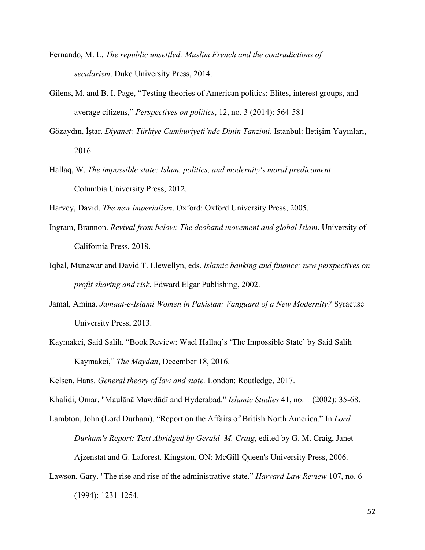- Fernando, M. L. *The republic unsettled: Muslim French and the contradictions of secularism*. Duke University Press, 2014.
- Gilens, M. and B. I. Page, "Testing theories of American politics: Elites, interest groups, and average citizens," *Perspectives on politics*, 12, no. 3 (2014): 564-581
- Gözaydın, İştar. *Diyanet: Türkiye Cumhuriyeti'nde Dinin Tanzimi*. Istanbul: İletişim Yayınları, 2016.
- Hallaq, W. *The impossible state: Islam, politics, and modernity's moral predicament*. Columbia University Press, 2012.

Harvey, David. *The new imperialism*. Oxford: Oxford University Press, 2005.

- Ingram, Brannon. *Revival from below: The deoband movement and global Islam*. University of California Press, 2018.
- Iqbal, Munawar and David T. Llewellyn, eds. *Islamic banking and finance: new perspectives on profit sharing and risk*. Edward Elgar Publishing, 2002.
- Jamal, Amina. *Jamaat-e-Islami Women in Pakistan: Vanguard of a New Modernity?* Syracuse University Press, 2013.
- Kaymakci, Said Salih. "Book Review: Wael Hallaq's 'The Impossible State' by Said Salih Kaymakci," *The Maydan*, December 18, 2016.

Kelsen, Hans. *General theory of law and state.* London: Routledge, 2017.

Khalidi, Omar. "Maulānā Mawdūdī and Hyderabad." *Islamic Studies* 41, no. 1 (2002): 35-68.

Lambton, John (Lord Durham). "Report on the Affairs of British North America." In *Lord Durham's Report: Text Abridged by Gerald M. Craig*, edited by G. M. Craig, Janet

Ajzenstat and G. Laforest. Kingston, ON: McGill-Queen's University Press, 2006.

Lawson, Gary. "The rise and rise of the administrative state." *Harvard Law Review* 107, no. 6

(1994): 1231-1254.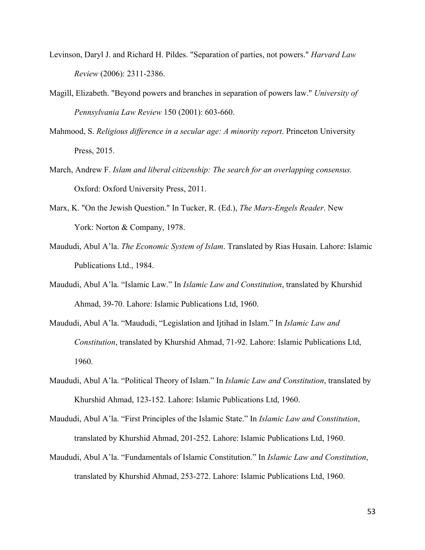- Levinson, Daryl J. and Richard H. Pildes. "Separation of parties, not powers." *Harvard Law Review* (2006): 2311-2386.
- Magill, Elizabeth. "Beyond powers and branches in separation of powers law." *University of Pennsylvania Law Review* 150 (2001): 603-660.
- Mahmood, S. *Religious difference in a secular age: A minority report*. Princeton University Press, 2015.
- March, Andrew F. *Islam and liberal citizenship: The search for an overlapping consensus.*  Oxford: Oxford University Press, 2011.
- Marx, K. "On the Jewish Question." In Tucker, R. (Ed.), *The Marx-Engels Reader*. New York: Norton & Company, 1978.
- Maududi, Abul A'la. *The Economic System of Islam*. Translated by Rias Husain. Lahore: Islamic Publications Ltd., 1984.
- Maududi, Abul A'la. "Islamic Law." In *Islamic Law and Constitution*, translated by Khurshid Ahmad, 39-70. Lahore: Islamic Publications Ltd, 1960.
- Maududi, Abul A'la. "Maududi, "Legislation and Ijtihad in Islam." In *Islamic Law and Constitution*, translated by Khurshid Ahmad, 71-92. Lahore: Islamic Publications Ltd, 1960.
- Maududi, Abul A'la. "Political Theory of Islam." In *Islamic Law and Constitution*, translated by Khurshid Ahmad, 123-152. Lahore: Islamic Publications Ltd, 1960.
- Maududi, Abul A'la. "First Principles of the Islamic State." In *Islamic Law and Constitution*, translated by Khurshid Ahmad, 201-252. Lahore: Islamic Publications Ltd, 1960.
- Maududi, Abul A'la. "Fundamentals of Islamic Constitution." In *Islamic Law and Constitution*, translated by Khurshid Ahmad, 253-272. Lahore: Islamic Publications Ltd, 1960.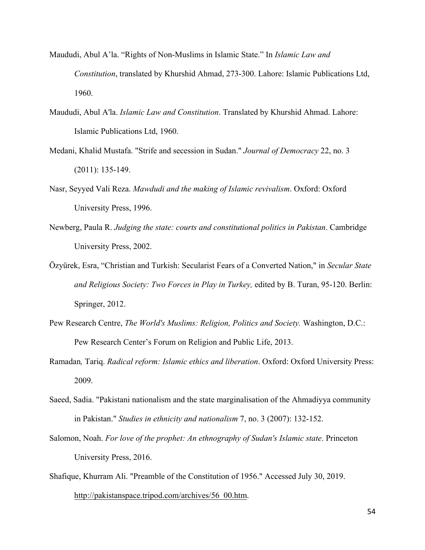- Maududi, Abul A'la. "Rights of Non-Muslims in Islamic State." In *Islamic Law and Constitution*, translated by Khurshid Ahmad, 273-300. Lahore: Islamic Publications Ltd, 1960.
- Maududi, Abul A'la. *Islamic Law and Constitution*. Translated by Khurshid Ahmad. Lahore: Islamic Publications Ltd, 1960.
- Medani, Khalid Mustafa. "Strife and secession in Sudan." *Journal of Democracy* 22, no. 3 (2011): 135-149.
- Nasr, Seyyed Vali Reza. *Mawdudi and the making of Islamic revivalism*. Oxford: Oxford University Press, 1996.
- Newberg, Paula R. *Judging the state: courts and constitutional politics in Pakistan*. Cambridge University Press, 2002.
- Özyürek, Esra, "Christian and Turkish: Secularist Fears of a Converted Nation," in *Secular State and Religious Society: Two Forces in Play in Turkey,* edited by B. Turan, 95-120. Berlin: Springer, 2012.
- Pew Research Centre, *The World's Muslims: Religion, Politics and Society.* Washington, D.C.: Pew Research Center's Forum on Religion and Public Life, 2013.
- Ramadan*,* Tariq. *Radical reform: Islamic ethics and liberation*. Oxford: Oxford University Press: 2009.
- Saeed, Sadia. "Pakistani nationalism and the state marginalisation of the Ahmadiyya community in Pakistan." *Studies in ethnicity and nationalism* 7, no. 3 (2007): 132-152.
- Salomon, Noah. *For love of the prophet: An ethnography of Sudan's Islamic state*. Princeton University Press, 2016.
- Shafique, Khurram Ali. "Preamble of the Constitution of 1956." Accessed July 30, 2019. http://pakistanspace.tripod.com/archives/56\_00.htm.